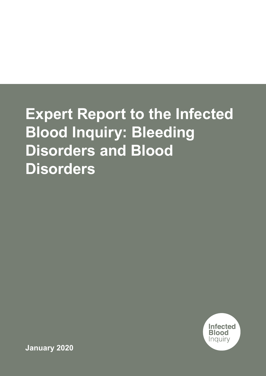# **Expert Report to the Infected Blood Inquiry: Bleeding Disorders and Blood Disorders**



**January 2020**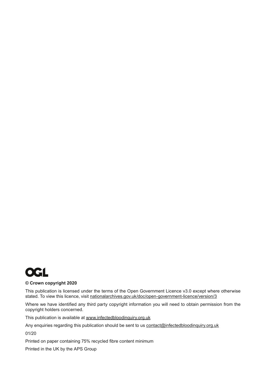

#### **© Crown copyright 2020**

This publication is licensed under the terms of the Open Government Licence v3.0 except where otherwise stated. To view this licence, visit [nationalarchives.gov.uk/doc/open-government-licence/version/3](http://www.nationalarchives.gov.uk/doc/open-government-licence/version/3)

Where we have identified any third party copyright information you will need to obtain permission from the copyright holders concerned.

This publication is available at [www.infectedbloodin](http://www.infectedbloodinquiry.org.uk)quiry.org.uk

Any enquiries regarding this publication should be sent to us [contact@infectedbloodin](mailto:contact%40infectedbloodinquiry.org.uk?subject=)quiry.org.uk

01/20

Printed on paper containing 75% recycled fibre content minimum

Printed in the UK by the APS Group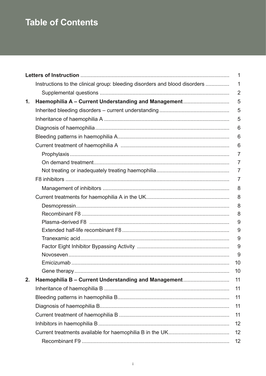# **Table of Contents**

|    |                                                                            | 1              |
|----|----------------------------------------------------------------------------|----------------|
|    | Instructions to the clinical group: bleeding disorders and blood disorders | 1              |
|    |                                                                            | $\overline{2}$ |
| 1. | Haemophilia A - Current Understanding and Management                       | 5              |
|    |                                                                            | 5              |
|    |                                                                            | 5              |
|    |                                                                            | 6              |
|    |                                                                            | 6              |
|    |                                                                            | 6              |
|    |                                                                            | $\overline{7}$ |
|    |                                                                            | 7              |
|    |                                                                            | $\overline{7}$ |
|    |                                                                            | 7              |
|    |                                                                            | 8              |
|    |                                                                            | 8              |
|    |                                                                            | 8              |
|    |                                                                            | 8              |
|    |                                                                            | 9              |
|    |                                                                            | 9              |
|    |                                                                            | 9              |
|    |                                                                            | 9              |
|    |                                                                            | 9              |
|    |                                                                            | 10             |
|    |                                                                            | 10             |
| 2. | Haemophilia B - Current Understanding and Management                       | 11             |
|    |                                                                            | 11             |
|    |                                                                            | 11             |
|    |                                                                            | 11             |
|    |                                                                            | 11             |
|    |                                                                            | 12             |
|    |                                                                            | 12             |
|    |                                                                            | 12             |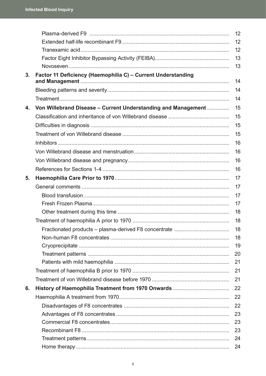|    |                                                               | 12 |
|----|---------------------------------------------------------------|----|
|    |                                                               | 12 |
|    |                                                               | 12 |
|    |                                                               | 13 |
|    |                                                               | 13 |
| 3. | Factor 11 Deficiency (Haemophilia C) - Current Understanding  | 14 |
|    |                                                               | 14 |
|    |                                                               | 14 |
| 4. | Von Willebrand Disease - Current Understanding and Management | 15 |
|    |                                                               | 15 |
|    |                                                               | 15 |
|    |                                                               | 15 |
|    |                                                               | 16 |
|    |                                                               | 16 |
|    |                                                               | 16 |
|    |                                                               | 16 |
| 5. |                                                               | 17 |
|    |                                                               | 17 |
|    |                                                               | 17 |
|    |                                                               | 17 |
|    |                                                               | 18 |
|    |                                                               | 18 |
|    |                                                               | 18 |
|    |                                                               | 18 |
|    |                                                               | 19 |
|    |                                                               | 20 |
|    |                                                               | 21 |
|    |                                                               | 21 |
|    |                                                               | 21 |
| 6. |                                                               | 22 |
|    |                                                               | 22 |
|    |                                                               | 22 |
|    |                                                               | 23 |
|    |                                                               | 23 |
|    |                                                               | 23 |
|    |                                                               | 24 |
|    |                                                               | 24 |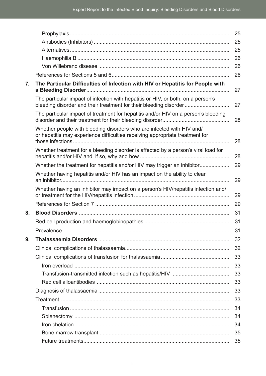|    |                                                                                                                                                       | 25 |
|----|-------------------------------------------------------------------------------------------------------------------------------------------------------|----|
|    |                                                                                                                                                       | 25 |
|    |                                                                                                                                                       | 25 |
|    |                                                                                                                                                       | 26 |
|    |                                                                                                                                                       | 26 |
|    |                                                                                                                                                       | 26 |
| 7. | The Particular Difficulties of Infection with HIV or Hepatitis for People with                                                                        | 27 |
|    | The particular impact of infection with hepatitis or HIV, or both, on a person's<br>bleeding disorder and their treatment for their bleeding disorder | 27 |
|    | The particular impact of treatment for hepatitis and/or HIV on a person's bleeding                                                                    | 28 |
|    | Whether people with bleeding disorders who are infected with HIV and/<br>or hepatitis may experience difficulties receiving appropriate treatment for | 28 |
|    | Whether treatment for a bleeding disorder is affected by a person's viral load for                                                                    | 28 |
|    |                                                                                                                                                       | 29 |
|    | Whether having hepatitis and/or HIV has an impact on the ability to clear                                                                             | 29 |
|    | Whether having an inhibitor may impact on a person's HIV/hepatitis infection and/                                                                     | 29 |
|    |                                                                                                                                                       | 29 |
| 8. |                                                                                                                                                       | 31 |
|    |                                                                                                                                                       | 31 |
|    | Prevalence                                                                                                                                            | 31 |
| 9. |                                                                                                                                                       | 32 |
|    |                                                                                                                                                       | 32 |
|    |                                                                                                                                                       | 33 |
|    |                                                                                                                                                       | 33 |
|    |                                                                                                                                                       | 33 |
|    |                                                                                                                                                       | 33 |
|    |                                                                                                                                                       | 33 |
|    |                                                                                                                                                       | 33 |
|    |                                                                                                                                                       | 34 |
|    |                                                                                                                                                       | 34 |
|    |                                                                                                                                                       | 34 |
|    |                                                                                                                                                       | 35 |
|    |                                                                                                                                                       | 35 |
|    |                                                                                                                                                       |    |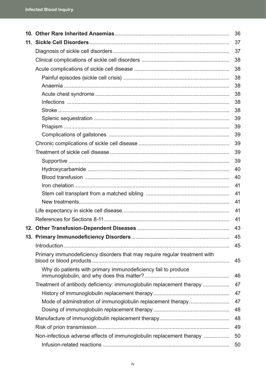|  |                                                                            | 36 |
|--|----------------------------------------------------------------------------|----|
|  |                                                                            | 37 |
|  |                                                                            | 37 |
|  |                                                                            | 38 |
|  |                                                                            | 38 |
|  |                                                                            | 38 |
|  |                                                                            | 38 |
|  |                                                                            | 38 |
|  |                                                                            | 38 |
|  |                                                                            | 38 |
|  |                                                                            | 39 |
|  |                                                                            | 39 |
|  |                                                                            | 39 |
|  |                                                                            | 39 |
|  |                                                                            | 39 |
|  |                                                                            | 39 |
|  |                                                                            | 40 |
|  |                                                                            | 40 |
|  |                                                                            | 41 |
|  |                                                                            | 41 |
|  |                                                                            | 41 |
|  |                                                                            | 41 |
|  |                                                                            | 41 |
|  |                                                                            | 43 |
|  |                                                                            | 45 |
|  |                                                                            | 45 |
|  | Primary immunodeficiency disorders that may require regular treatment with | 45 |
|  | Why do patients with primary immunodeficiency fail to produce              | 46 |
|  | Treatment of antibody deficiency: immunoglobulin replacement therapy       | 47 |
|  |                                                                            | 47 |
|  |                                                                            | 47 |
|  |                                                                            | 48 |
|  |                                                                            | 48 |
|  |                                                                            | 49 |
|  | Non-infectious adverse effects of immunoglobulin replacement therapy       | 50 |
|  |                                                                            | 50 |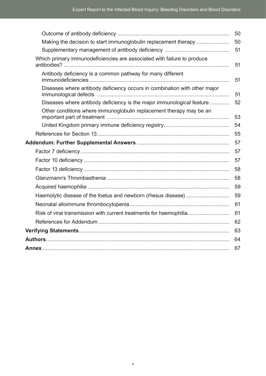|                                                                           | 50 |
|---------------------------------------------------------------------------|----|
| Making the decision to start immunoglobulin replacement therapy           | 50 |
|                                                                           | 51 |
| Which primary immunodeficiencies are associated with failure to produce   | 51 |
| Antibody deficiency is a common pathway for many different                | 51 |
| Diseases where antibody deficiency occurs in combination with other major | 51 |
| Diseases where antibody deficiency is the major immunological feature     | 52 |
| Other conditions where immunoglobulin replacement therapy may be an       | 53 |
|                                                                           | 54 |
|                                                                           | 55 |
|                                                                           | 57 |
|                                                                           | 57 |
|                                                                           | 57 |
|                                                                           | 58 |
|                                                                           | 58 |
|                                                                           | 59 |
|                                                                           | 59 |
|                                                                           | 61 |
| Risk of viral transmission with current treatments for haemophilia        | 61 |
|                                                                           | 62 |
|                                                                           | 63 |
|                                                                           | 64 |
|                                                                           | 67 |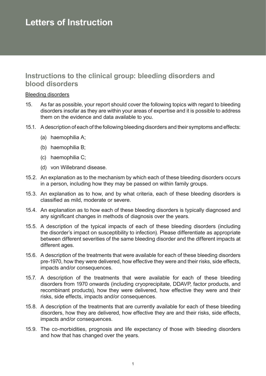# <span id="page-8-0"></span>**Letters of Instruction**

# **Instructions to the clinical group: bleeding disorders and blood disorders**

#### Bleeding disorders

- 15. As far as possible, your report should cover the following topics with regard to bleeding disorders insofar as they are within your areas of expertise and it is possible to address them on the evidence and data available to you.
- 15.1. A description of each of the following bleeding disorders and their symptoms and effects:
	- (a) haemophilia A;
	- (b) haemophilia B;
	- (c) haemophilia C;
	- (d) von Willebrand disease.
- 15.2. An explanation as to the mechanism by which each of these bleeding disorders occurs in a person, including how they may be passed on within family groups.
- 15.3. An explanation as to how, and by what criteria, each of these bleeding disorders is classified as mild, moderate or severe.
- 15.4. An explanation as to how each of these bleeding disorders is typically diagnosed and any significant changes in methods of diagnosis over the years.
- 15.5. A description of the typical impacts of each of these bleeding disorders (including the disorder's impact on susceptibility to infection). Please differentiate as appropriate between different severities of the same bleeding disorder and the different impacts at different ages.
- 15.6. A description of the treatments that were available for each of these bleeding disorders pre-1970, how they were delivered, how effective they were and their risks, side effects, impacts and/or consequences.
- 15.7. A description of the treatments that were available for each of these bleeding disorders from 1970 onwards (including cryoprecipitate, DDAVP, factor products, and recombinant products), how they were delivered, how effective they were and their risks, side effects, impacts and/or consequences.
- 15.8. A description of the treatments that are currently available for each of these bleeding disorders, how they are delivered, how effective they are and their risks, side effects, impacts and/or consequences.
- 15.9. The co-morbidities, prognosis and life expectancy of those with bleeding disorders and how that has changed over the years.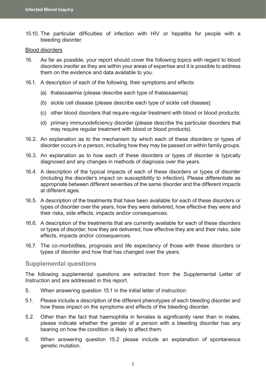<span id="page-9-0"></span>15.10. The particular difficulties of infection with HIV or hepatitis for people with a bleeding disorder.

#### Blood disorders

- 16. As far as possible, your report should cover the following topics with regard to blood disorders insofar as they are within your areas of expertise and it is possible to address them on the evidence and data available to you.
- 16.1. A description of each of the following, their symptoms and effects:
	- (a) thalassaemia (please describe each type of thalassaemia);
	- (b) sickle cell disease (please describe each type of sickle cell disease);
	- (c) other blood disorders that require regular treatment with blood or blood products;
	- (d) primary immunodeficiency disorder (please describe the particular disorders that may require regular treatment with blood or blood products).
- 16.2. An explanation as to the mechanism by which each of these disorders or types of disorder occurs in a person, including how they may be passed on within family groups.
- 16.3. An explanation as to how each of these disorders or types of disorder is typically diagnosed and any changes in methods of diagnosis over the years.
- 16.4. A description of the typical impacts of each of these disorders or types of disorder (including the disorder's impact on susceptibility to infection). Please differentiate as appropriate between different severities of the same disorder and the different impacts at different ages.
- 16.5. A description of the treatments that have been available for each of these disorders or types of disorder over the years, how they were delivered, how effective they were and their risks, side effects, impacts and/or consequences.
- 16.6. A description of the treatments that are currently available for each of these disorders or types of disorder, how they are delivered, how effective they are and their risks, side effects, impacts and/or consequences.
- 16.7. The co-morbidities, prognosis and life expectancy of those with these disorders or types of disorder and how that has changed over the years.

#### **Supplemental questions**

The following supplemental questions are extracted from the Supplemental Letter of Instruction and are addressed in this report.

- 5. When answering question 15.1 in the initial letter of instruction:
- 5.1. Please include a description of the different phenotypes of each bleeding disorder and how these impact on the symptoms and effects of the bleeding disorder.
- 5.2. Other than the fact that haemophilia in females is significantly rarer than in males, please indicate whether the gender of a person with a bleeding disorder has any bearing on how the condition is likely to affect them.
- 6. When answering question 15.2 please include an explanation of spontaneous genetic mutation.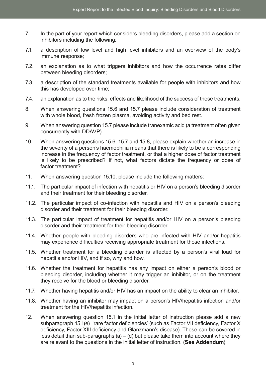- 7. In the part of your report which considers bleeding disorders, please add a section on inhibitors including the following:
- 7.1. a description of low level and high level inhibitors and an overview of the body's immune response;
- 7.2. an explanation as to what triggers inhibitors and how the occurrence rates differ between bleeding disorders;
- 7.3. a description of the standard treatments available for people with inhibitors and how this has developed over time;
- 7.4. an explanation as to the risks, effects and likelihood of the success of these treatments.
- 8. When answering questions 15.6 and 15.7 please include consideration of treatment with whole blood, fresh frozen plasma, avoiding activity and bed rest.
- 9. When answering question 15.7 please include tranexamic acid (a treatment often given concurrently with DDAVP).
- 10. When answering questions 15.6, 15.7 and 15.8, please explain whether an increase in the severity of a person's haemophilia means that there is likely to be a corresponding increase in the frequency of factor treatment, or that a higher dose of factor treatment is likely to be prescribed? If not, what factors dictate the frequency or dose of factor treatment?
- 11. When answering question 15.10, please include the following matters:
- 11.1. The particular impact of infection with hepatitis or HIV on a person's bleeding disorder and their treatment for their bleeding disorder.
- 11.2. The particular impact of co-infection with hepatitis and HIV on a person's bleeding disorder and their treatment for their bleeding disorder.
- 11.3. The particular impact of treatment for hepatitis and/or HIV on a person's bleeding disorder and their treatment for their bleeding disorder.
- 11.4. Whether people with bleeding disorders who are infected with HIV and/or hepatitis may experience difficulties receiving appropriate treatment for those infections.
- 11.5. Whether treatment for a bleeding disorder is affected by a person's viral load for hepatitis and/or HIV, and if so, why and how.
- 11.6. Whether the treatment for hepatitis has any impact on either a person's blood or bleeding disorder, including whether it may trigger an inhibitor, or on the treatment they receive for the blood or bleeding disorder.
- 11.7. Whether having hepatitis and/or HIV has an impact on the ability to clear an inhibitor.
- 11.8. Whether having an inhibitor may impact on a person's HIV/hepatitis infection and/or treatment for the HIV/hepatitis infection.
- 12. When answering question 15.1 in the initial letter of instruction please add a new subparagraph 15.1(e) 'rare factor deficiencies' (such as Factor VII deficiency, Factor X deficiency, Factor XIII deficiency and Glanzmann's disease). These can be covered in less detail than sub-paragraphs (a)  $-$  (d) but please take them into account where they are relevant to the questions in the initial letter of instruction. (**See Addendum**)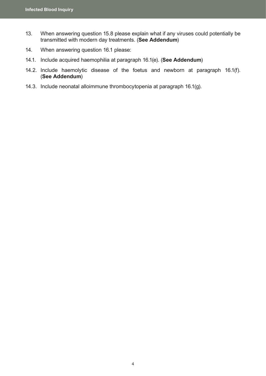- 13. When answering question 15.8 please explain what if any viruses could potentially be transmitted with modern day treatments. (**See Addendum**)
- 14. When answering question 16.1 please:
- 14.1. Include acquired haemophilia at paragraph 16.1(e). (**See Addendum**)
- 14.2. Include haemolytic disease of the foetus and newborn at paragraph 16.1(f). (**See Addendum**)
- 14.3. Include neonatal alloimmune thrombocytopenia at paragraph 16.1(g).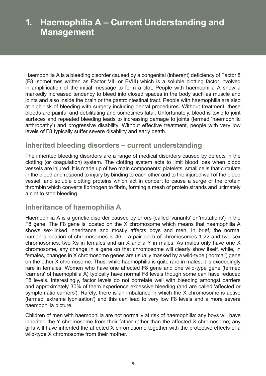# <span id="page-12-0"></span>**1. Haemophilia A – Current Understanding and Management**

Haemophilia A is a bleeding disorder caused by a congenital (inherent) deficiency of Factor 8 (F8, sometimes written as Factor VIII or FVIII) which is a soluble clotting factor involved in amplification of the initial message to form a clot. People with haemophilia A show a markedly increased tendency to bleed into closed spaces in the body such as muscle and joints and also inside the brain or the gastrointestinal tract. People with haemophilia are also at high risk of bleeding with surgery including dental procedures. Without treatment, these bleeds are painful and debilitating and sometimes fatal. Unfortunately, blood is toxic to joint surfaces and repeated bleeding leads to increasing damage to joints (termed 'haemophilic arthropathy') and progressive disability. Without effective treatment, people with very low levels of F8 typically suffer severe disability and early death.

# **Inherited bleeding disorders – current understanding**

The inherited bleeding disorders are a range of medical disorders caused by defects in the clotting (or coagulation) system. The clotting system acts to limit blood loss when blood vessels are injured. It is made up of two main components; platelets, small cells that circulate in the blood and respond to injury by binding to each other and to the injured wall of the blood vessel; and soluble clotting proteins which act in concert to cause a surge of the protein thrombin which converts fibrinogen to fibrin, forming a mesh of protein strands and ultimately a clot to stop bleeding.

# **Inheritance of haemophilia A**

Haemophilia A is a genetic disorder caused by errors (called 'variants' or 'mutations') in the F8 gene. The F8 gene is located on the X chromosome which means that haemophilia A shows sex-linked inheritance and mostly affects boys and men. In brief, the normal human allocation of chromosomes is 46 – a pair each of chromosomes 1-22 and two sex chromosomes: two Xs in females and an X and a Y in males. As males only have one X chromosome, any change in a gene on that chromosome will clearly show itself, while, in females, changes in X chromosome genes are usually masked by a wild-type ('normal') gene on the other X chromosome. Thus, while haemophilia is quite rare in males, it is exceedingly rare in females. Women who have one affected F8 gene and one wild-type gene (termed 'carriers' of haemophilia A) typically have normal F8 levels though some can have reduced F8 levels. Interestingly, factor levels do not correlate well with bleeding amongst carriers and approximately 30% of them experience excessive bleeding (and are called 'affected or symptomatic carriers'). Rarely, there is an imbalance in which the X chromosome is active (termed 'extreme lyonisation') and this can lead to very low F8 levels and a more severe haemophilia picture.

Children of men with haemophilia are not normally at risk of haemophilia: any boys will have inherited the Y chromosome from their father rather than the affected X chromosome; any girls will have inherited the affected X chromosome together with the protective effects of a wild-type X chromosome from their mother.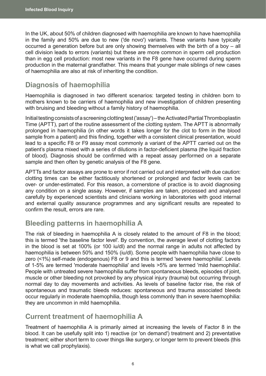<span id="page-13-0"></span>In the UK, about 50% of children diagnosed with haemophilia are known to have haemophilia in the family and 50% are due to new ('de novo') variants. These variants have typically occurred a generation before but are only showing themselves with the birth of a boy – all cell division leads to errors (variants) but these are more common in sperm cell production than in egg cell production: most new variants in the F8 gene have occurred during sperm production in the maternal grandfather. This means that younger male siblings of new cases of haemophilia are also at risk of inheriting the condition.

# **Diagnosis of haemophilia**

Haemophilia is diagnosed in two different scenarios: targeted testing in children born to mothers known to be carriers of haemophilia and new investigation of children presenting with bruising and bleeding without a family history of haemophilia.

Initial testing consists of a screening clotting test ('assay')– the Activated Partial Thromboplastin Time (APTT), part of the routine assessment of the clotting system. The APTT is abnormally prolonged in haemophilia (in other words it takes longer for the clot to form in the blood sample from a patient) and this finding, together with a consistent clinical presentation, would lead to a specific F8 or F9 assay most commonly a variant of the APTT carried out on the patient's plasma mixed with a series of dilutions in factor-deficient plasma (the liquid fraction of blood). Diagnosis should be confirmed with a repeat assay performed on a separate sample and then often by genetic analysis of the F8 gene.

APTTs and factor assays are prone to error if not carried out and interpreted with due caution: clotting times can be either factitiously shortened or prolonged and factor levels can be over- or under-estimated. For this reason, a cornerstone of practice is to avoid diagnosing any condition on a single assay. However, if samples are taken, processed and analysed carefully by experienced scientists and clinicians working in laboratories with good internal and external quality assurance programmes and any significant results are repeated to confirm the result, errors are rare.

# **Bleeding patterns in haemophilia A**

The risk of bleeding in haemophilia A is closely related to the amount of F8 in the blood; this is termed 'the baseline factor level'. By convention, the average level of clotting factors in the blood is set at 100% (or 100 iu/dl) and the normal range in adults not affected by haemophilia is between 50% and 150% (iu/dl). Some people with haemophilia have close to zero (<1%) self-made (endogenous) F8 or 9 and this is termed 'severe haemophilia'. Levels of 1-5% are termed 'moderate haemophilia' and levels >5% are termed 'mild haemophilia'. People with untreated severe haemophilia suffer from spontaneous bleeds, episodes of joint, muscle or other bleeding not provoked by any physical injury (trauma) but occurring through normal day to day movements and activities. As levels of baseline factor rise, the risk of spontaneous and traumatic bleeds reduces: spontaneous and trauma associated bleeds occur regularly in moderate haemophilia, though less commonly than in severe haemophilia: they are uncommon in mild haemophilia.

### **Current treatment of haemophilia A**

Treatment of haemophilia A is primarily aimed at increasing the levels of Factor 8 in the blood. It can be usefully split into 1) reactive (or 'on demand') treatment and 2) preventative treatment; either short term to cover things like surgery, or longer term to prevent bleeds (this is what we call prophylaxis).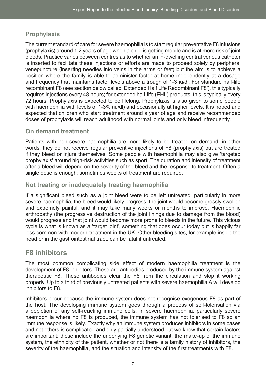# <span id="page-14-0"></span>**Prophylaxis**

The current standard of care for severe haemophilia is to start regular preventative F8 infusions (prophylaxis) around 1-2 years of age when a child is getting mobile and is at more risk of joint bleeds. Practice varies between centres as to whether an in-dwelling central venous catheter is inserted to facilitate these injections or efforts are made to proceed solely by peripheral venepuncture (inserting needles into veins in the arms or feet) but the aim is to achieve a position where the family is able to administer factor at home independently at a dosage and frequency that maintains factor levels above a trough of 1-3 iu/dl. For standard half-life recombinant F8 (see section below called 'Extended Half Life Recombinant F8'), this typically requires injections every 48 hours; for extended half-life (EHL) products, this is typically every 72 hours. Prophylaxis is expected to be lifelong. Prophylaxis is also given to some people with haemophilia with levels of 1-3% (iu/dl) and occasionally at higher levels. It is hoped and expected that children who start treatment around a year of age and receive recommended doses of prophylaxis will reach adulthood with normal joints and only bleed infrequently.

### **On demand treatment**

Patients with non-severe haemophilia are more likely to be treated on demand; in other words, they do not receive regular preventive injections of F8 (prophylaxis) but are treated if they bleed or injure themselves. Some people with haemophilia may also give 'targeted prophylaxis' around high-risk activities such as sport. The duration and intensity of treatment after a bleed will depend on the severity of the bleed and the response to treatment. Often a single dose is enough; sometimes weeks of treatment are required.

### **Not treating or inadequately treating haemophilia**

If a significant bleed such as a joint bleed were to be left untreated, particularly in more severe haemophilia, the bleed would likely progress, the joint would become grossly swollen and extremely painful, and it may take many weeks or months to improve. Haemophilic arthropathy (the progressive destruction of the joint linings due to damage from the blood) would progress and that joint would become more prone to bleeds in the future. This vicious cycle is what is known as a 'target joint', something that does occur today but is happily far less common with modern treatment in the UK. Other bleeding sites, for example inside the head or in the gastrointestinal tract, can be fatal if untreated.

# **F8 inhibitors**

The most common complicating side effect of modern haemophilia treatment is the development of F8 inhibitors. These are antibodies produced by the immune system against therapeutic F8. These antibodies clear the F8 from the circulation and stop it working properly. Up to a third of previously untreated patients with severe haemophilia A will develop inhibitors to F8.

Inhibitors occur because the immune system does not recognise exogenous F8 as part of the host. The developing immune system goes through a process of self-tolerisation via a depletion of any self-reacting immune cells. In severe haemophilia, particularly severe haemophilia where no F8 is produced, the immune system has not tolerised to F8 so an immune response is likely. Exactly why an immune system produces inhibitors in some cases and not others is complicated and only partially understood but we know that certain factors are important: these include the underlying F8 genetic variant, the make-up of the immune system, the ethnicity of the patient, whether or not there is a family history of inhibitors, the severity of the haemophilia, and the situation and intensity of the first treatments with F8.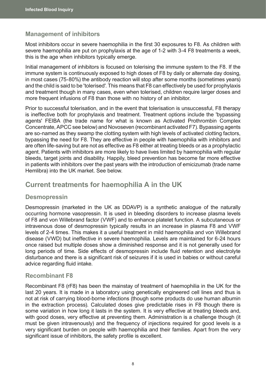### <span id="page-15-0"></span>**Management of inhibitors**

Most inhibitors occur in severe haemophilia in the first 30 exposures to F8. As children with severe haemophilia are put on prophylaxis at the age of 1-2 with 3-4 F8 treatments a week, this is the age when inhibitors typically emerge.

Initial management of inhibitors is focused on tolerising the immune system to the F8. If the immune system is continuously exposed to high doses of F8 by daily or alternate day dosing, in most cases (75-80%) the antibody reaction will stop after some months (sometimes years) and the child is said to be 'tolerised'. This means that F8 can effectively be used for prophylaxis and treatment though in many cases, even when tolerised, children require larger doses and more frequent infusions of F8 than those with no history of an inhibitor.

Prior to successful tolerisation, and in the event that tolerisation is unsuccessful, F8 therapy is ineffective both for prophylaxis and treatment. Treatment options include the 'bypassing agents' FEIBA (the trade name for what is known as Activated Prothrombin Complex Concentrate, APCC see below) and Novoseven (recombinant activated F7). Bypassing agents are so-named as they swamp the clotting system with high levels of activated clotting factors, bypassing the need for F8. They are effective in people with haemophilia with inhibitors and are often life-saving but are not as effective as F8 either at treating bleeds or as a prophylactic agent. Patients with inhibitors are more likely to have lives limited by haemophilia with regular bleeds, target joints and disability. Happily, bleed prevention has become far more effective in patients with inhibitors over the past years with the introduction of emicizumab (trade name Hemlibra) into the UK market. See below.

### **Current treatments for haemophilia A in the UK**

### **Desmopressin**

Desmopressin (marketed in the UK as DDAVP) is a synthetic analogue of the naturally occurring hormone vasopressin. It is used in bleeding disorders to increase plasma levels of F8 and von Willebrand factor (VWF) and to enhance platelet function. A subcutaneous or intravenous dose of desmopressin typically results in an increase in plasma F8 and VWF levels of 2-4 times. This makes it a useful treatment in mild haemophilia and von Willebrand disease (VWD) but ineffective in severe haemophilia. Levels are maintained for 6-24 hours once raised but multiple doses show a diminished response and it is not generally used for long periods of time. Side effects of desmopressin include fluid retention and electrolyte disturbance and there is a significant risk of seizures if it is used in babies or without careful advice regarding fluid intake.

### **Recombinant F8**

Recombinant F8 (rF8) has been the mainstay of treatment of haemophilia in the UK for the last 20 years. It is made in a laboratory using genetically engineered cell lines and thus is not at risk of carrying blood-borne infections (though some products do use human albumin in the extraction process). Calculated doses give predictable rises in F8 though there is some variation in how long it lasts in the system. It is very effective at treating bleeds and, with good doses, very effective at preventing them. Administration is a challenge though (it must be given intravenously) and the frequency of injections required for good levels is a very significant burden on people with haemophilia and their families. Apart from the very significant issue of inhibitors, the safety profile is excellent.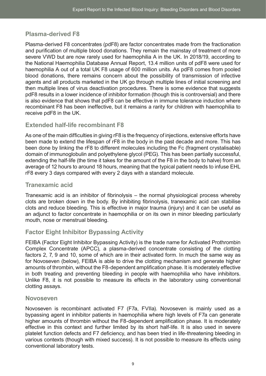### <span id="page-16-0"></span>**Plasma-derived F8**

Plasma-derived F8 concentrates (pdF8) are factor concentrates made from the fractionation and purification of multiple blood donations. They remain the mainstay of treatment of more severe VWD but are now rarely used for haemophilia A in the UK. In 2018/19, according to the National Haemophilia Database Annual Report, 13.4 million units of pdF8 were used for haemophilia A out of a total UK F8 usage of 600 million units. As pdF8 comes from pooled blood donations, there remains concern about the possibility of transmission of infective agents and all products marketed in the UK go through multiple lines of initial screening and then multiple lines of virus deactivation procedures. There is some evidence that suggests pdF8 results in a lower incidence of inhibitor formation (though this is controversial) and there is also evidence that shows that pdF8 can be effective in immune tolerance induction where recombinant F8 has been ineffective, but it remains a rarity for children with haemophilia to receive pdF8 in the UK.

### **Extended half-life recombinant F8**

As one of the main difficulties in giving rF8 is the frequency of injections, extensive efforts have been made to extend the lifespan of rF8 in the body in the past decade and more. This has been done by linking the rF8 to different molecules including the Fc (fragment crystalisable) domain of immunoglobulin and polyethylene glycol (PEG). This has been partially successful, extending the half-life (the time it takes for the amount of the F8 in the body to halve) from an average of 12 hours to around 18 hours, meaning that the typical patient needs to infuse EHL rF8 every 3 days compared with every 2 days with a standard molecule.

### **Tranexamic acid**

Tranexamic acid is an inhibitor of fibrinolysis – the normal physiological process whereby clots are broken down in the body. By inhibiting fibrinolysis, tranexamic acid can stabilise clots and reduce bleeding. This is effective in major trauma (injury) and it can be useful as an adjunct to factor concentrate in haemophilia or on its own in minor bleeding particularly mouth, nose or menstrual bleeding.

### **Factor Eight Inhibitor Bypassing Activity**

FEIBA (Factor Eight Inhibitor Bypassing Activity) is the trade name for Activated Prothrombin Complex Concentrate (APCC), a plasma-derived concentrate consisting of the clotting factors 2, 7, 9 and 10, some of which are in their activated form. In much the same way as for Novoseven (below), FEIBA is able to drive the clotting mechanism and generate higher amounts of thrombin, without the F8-dependent amplification phase. It is moderately effective in both treating and preventing bleeding in people with haemophilia who have inhibitors. Unlike F8, it is not possible to measure its effects in the laboratory using conventional clotting assays.

### **Novoseven**

Novoseven is recombinant activated F7 (F7a, FVIIa). Novoseven is mainly used as a bypassing agent in inhibitor patients in haemophilia where high levels of F7a can generate higher amounts of thrombin without the F8-dependent amplification phase. It is moderately effective in this context and further limited by its short half-life. It is also used in severe platelet function defects and F7 deficiency, and has been tried in life-threatening bleeding in various contexts (though with mixed success). It is not possible to measure its effects using conventional laboratory tests.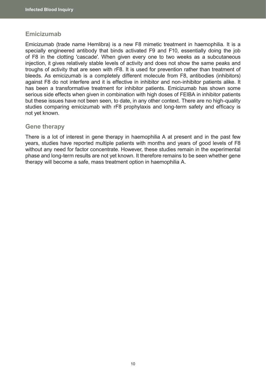### <span id="page-17-0"></span>**Emicizumab**

Emicizumab (trade name Hemlibra) is a new F8 mimetic treatment in haemophilia. It is a specially engineered antibody that binds activated F9 and F10, essentially doing the job of F8 in the clotting 'cascade'. When given every one to two weeks as a subcutaneous injection, it gives relatively stable levels of activity and does not show the same peaks and troughs of activity that are seen with rF8. It is used for prevention rather than treatment of bleeds. As emicizumab is a completely different molecule from F8, antibodies (inhibitors) against F8 do not interfere and it is effective in inhibitor and non-inhibitor patients alike. It has been a transformative treatment for inhibitor patients. Emicizumab has shown some serious side effects when given in combination with high doses of FEIBA in inhibitor patients but these issues have not been seen, to date, in any other context. There are no high-quality studies comparing emicizumab with rF8 prophylaxis and long-term safety and efficacy is not yet known.

### **Gene therapy**

There is a lot of interest in gene therapy in haemophilia A at present and in the past few years, studies have reported multiple patients with months and years of good levels of F8 without any need for factor concentrate. However, these studies remain in the experimental phase and long-term results are not yet known. It therefore remains to be seen whether gene therapy will become a safe, mass treatment option in haemophilia A.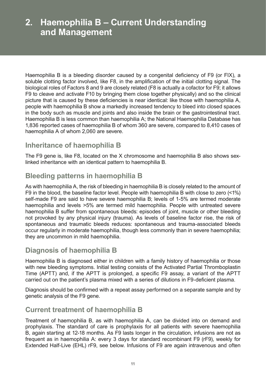# <span id="page-18-0"></span>**2. Haemophilia B – Current Understanding and Management**

Haemophilia B is a bleeding disorder caused by a congenital deficiency of F9 (or FIX), a soluble clotting factor involved, like F8, in the amplification of the initial clotting signal. The biological roles of Factors 8 and 9 are closely related (F8 is actually a cofactor for F9; it allows F9 to cleave and activate F10 by bringing them close together physically) and so the clinical picture that is caused by these deficiencies is near identical: like those with haemophilia A, people with haemophilia B show a markedly increased tendency to bleed into closed spaces in the body such as muscle and joints and also inside the brain or the gastrointestinal tract. Haemophilia B is less common than haemophilia A; the National Haemophilia Database has 1,836 reported cases of haemophilia B of whom 360 are severe, compared to 8,410 cases of haemophilia A of whom 2,060 are severe.

# **Inheritance of haemophilia B**

The F9 gene is, like F8, located on the X chromosome and haemophilia B also shows sexlinked inheritance with an identical pattern to haemophilia B.

# **Bleeding patterns in haemophilia B**

As with haemophilia A, the risk of bleeding in haemophilia B is closely related to the amount of F9 in the blood, the baseline factor level. People with haemophilia B with close to zero (<1%) self-made F9 are said to have severe haemophilia B; levels of 1-5% are termed moderate haemophilia and levels >5% are termed mild haemophilia. People with untreated severe haemophilia B suffer from spontaneous bleeds: episodes of joint, muscle or other bleeding not provoked by any physical injury (trauma). As levels of baseline factor rise, the risk of spontaneous and traumatic bleeds reduces: spontaneous and trauma-associated bleeds occur regularly in moderate haemophilia, though less commonly than in severe haemophilia; they are uncommon in mild haemophilia.

# **Diagnosis of haemophilia B**

Haemophilia B is diagnosed either in children with a family history of haemophilia or those with new bleeding symptoms. Initial testing consists of the Activated Partial Thromboplastin Time (APTT) and, if the APTT is prolonged, a specific F9 assay, a variant of the APTT carried out on the patient's plasma mixed with a series of dilutions in F9-deficient plasma.

Diagnosis should be confirmed with a repeat assay performed on a separate sample and by genetic analysis of the F9 gene.

# **Current treatment of haemophilia B**

Treatment of haemophilia B, as with haemophilia A, can be divided into on demand and prophylaxis. The standard of care is prophylaxis for all patients with severe haemophilia B, again starting at 12-18 months. As F9 lasts longer in the circulation, infusions are not as frequent as in haemophilia A: every 3 days for standard recombinant F9 (rF9), weekly for Extended Half-Live (EHL) rF9, see below. Infusions of F9 are again intravenous and often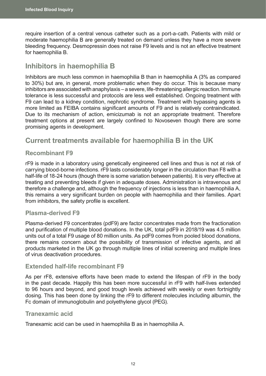<span id="page-19-0"></span>require insertion of a central venous catheter such as a port-a-cath. Patients with mild or moderate haemophilia B are generally treated on demand unless they have a more severe bleeding frequency. Desmopressin does not raise F9 levels and is not an effective treatment for haemophilia B.

# **Inhibitors in haemophilia B**

Inhibitors are much less common in haemophilia B than in haemophilia A (3% as compared to 30%) but are, in general, more problematic when they do occur. This is because many inhibitors are associated with anaphylaxis – a severe, life-threatening allergic reaction. Immune tolerance is less successful and protocols are less well established. Ongoing treatment with F9 can lead to a kidney condition, nephrotic syndrome. Treatment with bypassing agents is more limited as FEIBA contains significant amounts of F9 and is relatively contraindicated. Due to its mechanism of action, emicizumab is not an appropriate treatment. Therefore treatment options at present are largely confined to Novoseven though there are some promising agents in development.

# **Current treatments available for haemophilia B in the UK**

### **Recombinant F9**

rF9 is made in a laboratory using genetically engineered cell lines and thus is not at risk of carrying blood-borne infections. rF9 lasts considerably longer in the circulation than F8 with a half-life of 18-24 hours (though there is some variation between patients). It is very effective at treating and preventing bleeds if given in adequate doses. Administration is intravenous and therefore a challenge and, although the frequency of injections is less than in haemophilia A, this remains a very significant burden on people with haemophilia and their families. Apart from inhibitors, the safety profile is excellent.

### **Plasma-derived F9**

Plasma-derived F9 concentrates (pdF9) are factor concentrates made from the fractionation and purification of multiple blood donations. In the UK, total pdF9 in 2018/19 was 4.5 million units out of a total F9 usage of 80 million units. As pdF9 comes from pooled blood donations, there remains concern about the possibility of transmission of infective agents, and all products marketed in the UK go through multiple lines of initial screening and multiple lines of virus deactivation procedures.

### **Extended half-life recombinant F9**

As per rF8, extensive efforts have been made to extend the lifespan of rF9 in the body in the past decade. Happily this has been more successful in rF9 with half-lives extended to 96 hours and beyond, and good trough levels achieved with weekly or even fortnightly dosing. This has been done by linking the rF9 to different molecules including albumin, the Fc domain of immunoglobulin and polyethylene glycol (PEG).

#### **Tranexamic acid**

Tranexamic acid can be used in haemophilia B as in haemophilia A.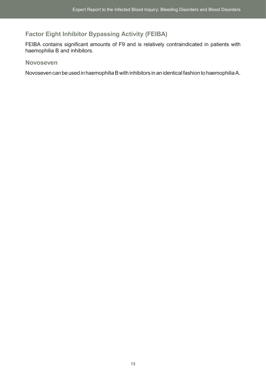# <span id="page-20-0"></span>**Factor Eight Inhibitor Bypassing Activity (FEIBA)**

FEIBA contains significant amounts of F9 and is relatively contraindicated in patients with haemophilia B and inhibitors.

### **Novoseven**

Novoseven can be used in haemophilia B with inhibitors in an identical fashion to haemophiliaA.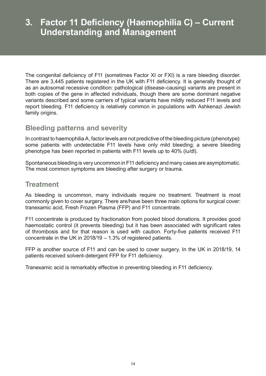# <span id="page-21-0"></span>**3. Factor 11 Deficiency (Haemophilia C) – Current Understanding and Management**

The congenital deficiency of F11 (sometimes Factor XI or FXI) is a rare bleeding disorder. There are 3,445 patients registered in the UK with F11 deficiency. It is generally thought of as an autosomal recessive condition: pathological (disease-causing) variants are present in both copies of the gene in affected individuals, though there are some dominant negative variants described and some carriers of typical variants have mildly reduced F11 levels and report bleeding. F11 deficiency is relatively common in populations with Ashkenazi Jewish family origins.

# **Bleeding patterns and severity**

In contrast to haemophiliaA, factor levels are not predictive of the bleeding picture (phenotype): some patients with undetectable F11 levels have only mild bleeding; a severe bleeding phenotype has been reported in patients with F11 levels up to 40% (iu/dl).

Spontaneous bleeding is very uncommon in F11 deficiency and many cases are asymptomatic. The most common symptoms are bleeding after surgery or trauma.

# **Treatment**

As bleeding is uncommon, many individuals require no treatment. Treatment is most commonly given to cover surgery. There are/have been three main options for surgical cover: tranexamic acid, Fresh Frozen Plasma (FFP) and F11 concentrate.

F11 concentrate is produced by fractionation from pooled blood donations. It provides good haemostatic control (it prevents bleeding) but it has been associated with significant rates of thrombosis and for that reason is used with caution. Forty-five patients received F11 concentrate in the UK in 2018/19 – 1.3% of registered patients.

FFP is another source of F11 and can be used to cover surgery. In the UK in 2018/19, 14 patients received solvent-detergent FFP for F11 deficiency.

Tranexamic acid is remarkably effective in preventing bleeding in F11 deficiency.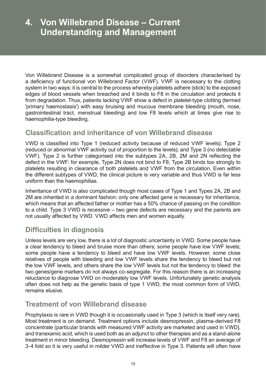# <span id="page-22-0"></span>**4. Von Willebrand Disease – Current Understanding and Management**

Von Willebrand Disease is a somewhat complicated group of disorders characterised by a deficiency of functional von Willebrand Factor (VWF). VWF is necessary to the clotting system in two ways: it is central to the process whereby platelets adhere (stick) to the exposed edges of blood vessels when breached and it binds to F8 in the circulation and protects it from degradation. Thus, patients lacking VWF show a defect in platelet-type clotting (termed 'primary haemostasis') with easy bruising and mucous membrane bleeding (mouth, nose, gastrointestinal tract, menstrual bleeding) and low F8 levels which at times give rise to haemophilia-type bleeding.

# **Classification and inheritance of von Willebrand disease**

VWD is classified into Type 1 (reduced activity because of reduced VWF levels); Type 2 (reduced or abnormal VWF activity out of proportion to the levels); and Type 3 (no detectable VWF). Type 2 is further categorised into the subtypes 2A, 2B, 2M and 2N reflecting the defect in the VWF: for example, Type 2N does not bind to F8; Type 2B binds too strongly to platelets resulting in clearance of both platelets and VWF from the circulation. Even within the different subtypes of VWD, the clinical picture is very variable and thus VWD is far less uniform than the haemophilias.

Inheritance of VWD is also complicated though most cases of Type 1 and Types 2A, 2B and 2M are inherited in a dominant fashion: only one affected gene is necessary for inheritance, which means that an affected father or mother has a 50% chance of passing on the condition to a child. Type 3 VWD is recessive – two gene defects are necessary and the parents are not usually affected by VWD. VWD affects men and women equally.

# **Difficulties in diagnosis**

Unless levels are very low, there is a lot of diagnostic uncertainty in VWD. Some people have a clear tendency to bleed and bruise more than others; some people have low VWF levels; some people have a tendency to bleed and have low VWF levels. However, some close relatives of people with bleeding and low VWF levels share the tendency to bleed but not the low VWF levels, and others share the low VWF levels but not the tendency to bleed: the two genes/gene markers do not always co-segregate. For this reason there is an increasing reluctance to diagnose VWD on moderately low VWF levels. Unfortunately genetic analysis often does not help as the genetic basis of type 1 VWD, the most common form of VWD, remains elusive.

# **Treatment of von Willebrand disease**

Prophylaxis is rare in VWD though it is occasionally used in Type 3 (which is itself very rare). Most treatment is on demand. Treatment options include desmopressin, plasma-derived F8 concentrate (particular brands with measured VWF activity are marketed and used in VWD), and tranexamic acid, which is used both as an adjunct to other therapies and as a stand-alone treatment in minor bleeding. Desmopressin will increase levels of VWF and F8 an average of 3-4 fold so it is very useful in milder VWD and ineffective in Type 3. Patients will often have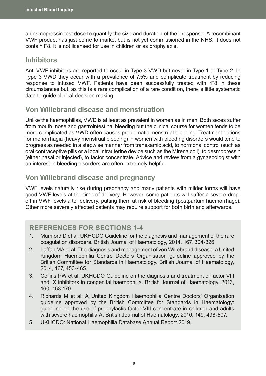<span id="page-23-0"></span>a desmopressin test dose to quantify the size and duration of their response. A recombinant VWF product has just come to market but is not yet commissioned in the NHS. It does not contain F8. It is not licensed for use in children or as prophylaxis.

### **Inhibitors**

Anti-VWF inhibitors are reported to occur in Type 3 VWD but never in Type 1 or Type 2. In Type 3 VWD they occur with a prevalence of 7.5% and complicate treatment by reducing response to infused VWF. Patients have been successfully treated with rF8 in these circumstances but, as this is a rare complication of a rare condition, there is little systematic data to guide clinical decision making.

# **Von Willebrand disease and menstruation**

Unlike the haemophilias, VWD is at least as prevalent in women as in men. Both sexes suffer from mouth, nose and gastrointestinal bleeding but the clinical course for women tends to be more complicated as VWD often causes problematic menstrual bleeding. Treatment options for menorrhagia (heavy menstrual bleeding) in women with bleeding disorders would tend to progress as needed in a stepwise manner from tranexamic acid, to hormonal control (such as oral contraceptive pills or a local intrauterine device such as the Mirena coil), to desmopressin (either nasal or injected), to factor concentrate. Advice and review from a gynaecologist with an interest in bleeding disorders are often extremely helpful.

# **Von Willebrand disease and pregnancy**

VWF levels naturally rise during pregnancy and many patients with milder forms will have good VWF levels at the time of delivery. However, some patients will suffer a severe dropoff in VWF levels after delivery, putting them at risk of bleeding (postpartum haemorrhage). Other more severely affected patients may require support for both birth and afterwards.

# **REFERENCES FOR SECTIONS 1-4**

- 1. Mumford D et al: UKHCDO Guideline for the diagnosis and management of the rare coagulation disorders. British Journal of Haematology, 2014, 167, 304-326.
- 2. Laffan MA et al: The diagnosis and management of von Willebrand disease: a United Kingdom Haemophilia Centre Doctors Organisation guideline approved by the British Committee for Standards in Haematology. British Journal of Haematology, 2014, 167, 453-465.
- 3. Collins PW et al: UKHCDO Guideline on the diagnosis and treatment of factor VIII and IX inhibitors in congenital haemophilia. British Journal of Haematology, 2013, 160, 153-170.
- 4. Richards M et al: A United Kingdom Haemophilia Centre Doctors' Organisation guideline approved by the British Committee for Standards in Haematology: guideline on the use of prophylactic factor VIII concentrate in children and adults with severe haemophilia A. British Journal of Haematology, 2010, 149, 498-507.
- 5. UKHCDO: National Haemophilia Database Annual Report 2019.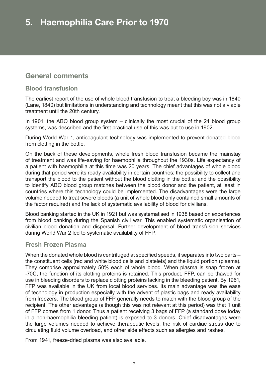# <span id="page-24-0"></span>**General comments**

### **Blood transfusion**

The earliest report of the use of whole blood transfusion to treat a bleeding boy was in 1840 (Lane, 1840) but limitations in understanding and technology meant that this was not a viable treatment until the 20th century.

In 1901, the ABO blood group system – clinically the most crucial of the 24 blood group systems, was described and the first practical use of this was put to use in 1902.

During World War 1, anticoagulant technology was implemented to prevent donated blood from clotting in the bottle.

On the back of these developments, whole fresh blood transfusion became the mainstay of treatment and was life-saving for haemophilia throughout the 1930s. Life expectancy of a patient with haemophilia at this time was 20 years. The chief advantages of whole blood during that period were its ready availability in certain countries; the possibility to collect and transport the blood to the patient without the blood clotting in the bottle; and the possibility to identify ABO blood group matches between the blood donor and the patient, at least in countries where this technology could be implemented. The disadvantages were the large volume needed to treat severe bleeds (a unit of whole blood only contained small amounts of the factor required) and the lack of systematic availability of blood for civilians.

Blood banking started in the UK in 1921 but was systematised in 1938 based on experiences from blood banking during the Spanish civil war. This enabled systematic organisation of civilian blood donation and dispersal. Further development of blood transfusion services during World War 2 led to systematic availability of FFP.

### **Fresh Frozen Plasma**

When the donated whole blood is centrifuged at specified speeds, it separates into two parts – the constituent cells (red and white blood cells and platelets) and the liquid portion (plasma). They comprise approximately 50% each of whole blood. When plasma is snap frozen at -70C, the function of its clotting proteins is retained. This product, FFP, can be thawed for use in bleeding disorders to replace clotting proteins lacking in the bleeding patient. By 1961, FFP was available in the UK from local blood services. Its main advantage was the ease of technology in production especially with the advent of plastic bags and ready availability from freezers. The blood group of FFP generally needs to match with the blood group of the recipient. The other advantage (although this was not relevant at this period) was that 1 unit of FFP comes from 1 donor. Thus a patient receiving 3 bags of FFP (a standard dose today in a non-haemophilia bleeding patient) is exposed to 3 donors. Chief disadvantages were the large volumes needed to achieve therapeutic levels, the risk of cardiac stress due to circulating fluid volume overload, and other side effects such as allergies and rashes.

From 1941, freeze-dried plasma was also available.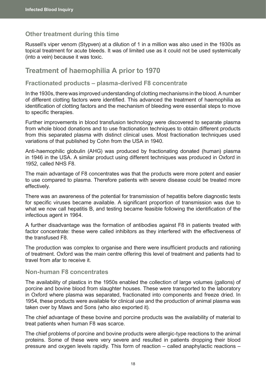### <span id="page-25-0"></span>**Other treatment during this time**

Russell's viper venom (Stypven) at a dilution of 1 in a million was also used in the 1930s as topical treatment for acute bleeds. It was of limited use as it could not be used systemically (into a vein) because it was toxic.

### **Treatment of haemophilia A prior to 1970**

### **Fractionated products – plasma-derived F8 concentrate**

In the 1930s, there was improved understanding of clotting mechanisms in the blood. A number of different clotting factors were identified. This advanced the treatment of haemophilia as identification of clotting factors and the mechanism of bleeding were essential steps to move to specific therapies.

Further improvements in blood transfusion technology were discovered to separate plasma from whole blood donations and to use fractionation techniques to obtain different products from this separated plasma with distinct clinical uses. Most fractionation techniques used variations of that published by Cohn from the USA in 1940.

Anti-haemophilic globulin (AHG) was produced by fractionating donated (human) plasma in 1946 in the USA. A similar product using different techniques was produced in Oxford in 1952, called NHS F8.

The main advantage of F8 concentrates was that the products were more potent and easier to use compared to plasma. Therefore patients with severe disease could be treated more effectively.

There was an awareness of the potential for transmission of hepatitis before diagnostic tests for specific viruses became available. A significant proportion of transmission was due to what we now call hepatitis B, and testing became feasible following the identification of the infectious agent in 1964.

A further disadvantage was the formation of antibodies against F8 in patients treated with factor concentrate: these were called inhibitors as they interfered with the effectiveness of the transfused F8.

The production was complex to organise and there were insufficient products and rationing of treatment. Oxford was the main centre offering this level of treatment and patients had to travel from afar to receive it.

#### **Non-human F8 concentrates**

The availability of plastics in the 1950s enabled the collection of large volumes (gallons) of porcine and bovine blood from slaughter houses. These were transported to the laboratory in Oxford where plasma was separated, fractionated into components and freeze dried. In 1954, these products were available for clinical use and the production of animal plasma was taken over by Maws and Sons (who also exported it).

The chief advantage of these bovine and porcine products was the availability of material to treat patients when human F8 was scarce.

The chief problems of porcine and bovine products were allergic-type reactions to the animal proteins. Some of these were very severe and resulted in patients dropping their blood pressure and oxygen levels rapidly. This form of reaction – called anaphylactic reactions –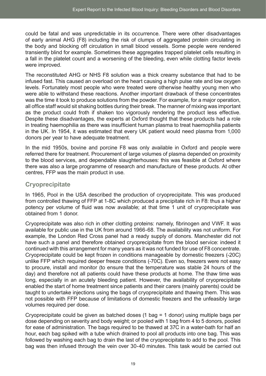<span id="page-26-0"></span>could be fatal and was unpredictable in its occurrence. There were other disadvantages of early animal AHG (F8) including the risk of clumps of aggregated protein circulating in the body and blocking off circulation in small blood vessels. Some people were rendered transiently blind for example. Sometimes these aggregates trapped platelet cells resulting in a fall in the platelet count and a worsening of the bleeding, even while clotting factor levels were improved.

The reconstituted AHG or NHS F8 solution was a thick creamy substance that had to be infused fast. This caused an overload on the heart causing a high pulse rate and low oxygen levels. Fortunately most people who were treated were otherwise healthy young men who were able to withstand these reactions. Another important drawback of these concentrates was the time it took to produce solutions from the powder. For example, for a major operation, all office staff would sit shaking bottles during their break. The manner of mixing was important as the product could froth if shaken too vigorously rendering the product less effective. Despite these disadvantages, the experts at Oxford thought that these products had a role in treating haemophilia as there was insufficient human plasma to treat haemophilia patients in the UK. In 1954, it was estimated that every UK patient would need plasma from 1,000 donors per year to have adequate treatment.

In the mid 1950s, bovine and porcine F8 was only available in Oxford and people were referred there for treatment. Procurement of large volumes of plasma depended on proximity to the blood services, and dependable slaughterhouses: this was feasible at Oxford where there was also a large programme of research and manufacture of these products. At other centres, FFP was the main product in use.

### **Cryoprecipitate**

In 1965, Pool in the USA described the production of cryoprecipitate. This was produced from controlled thawing of FFP at 1-8C which produced a precipitate rich in F8: thus a higher potency per volume of fluid was now available; at that time 1 unit of cryoprecipitate was obtained from 1 donor.

Cryoprecipitate was also rich in other clotting proteins: namely, fibrinogen and VWF. It was available for public use in the UK from around 1966-68. The availability was not uniform. For example, the London Red Cross panel had a ready supply of donors. Manchester did not have such a panel and therefore obtained cryoprecipitate from the blood service: indeed it continued with this arrangement for many years as it was not funded for use of F8 concentrate. Cryoprecipitate could be kept frozen in conditions manageable by domestic freezers (-20C) unlike FFP which required deeper freeze conditions (-70C). Even so, freezers were not easy to procure, install and monitor (to ensure that the temperature was stable 24 hours of the day) and therefore not all patients could have these products at home. The thaw time was long, especially in an acutely bleeding patient. However, the availability of cryoprecipitate enabled the start of home treatment since patients and their carers (mainly parents) could be taught to undertake injections using the bags of cryoprecipitate and thawing them. This was not possible with FFP because of limitations of domestic freezers and the unfeasibly large volumes required per dose.

Cryoprecipitate could be given as batched doses (1 bag = 1 donor) using multiple bags per dose depending on severity and body weight; or pooled with 1 bag from 4 to 5 donors, pooled for ease of administration. The bags required to be thawed at 37C in a water-bath for half an hour, each bag spiked with a tube which drained to pool all products into one bag. This was followed by washing each bag to drain the last of the cryoprecipitate to add to the pool. This bag was then infused through the vein over 30-40 minutes. This task would be carried out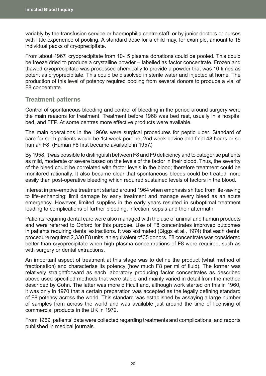<span id="page-27-0"></span>variably by the transfusion service or haemophilia centre staff, or by junior doctors or nurses with little experience of pooling. A standard dose for a child may, for example, amount to 15 individual packs of cryoprecipitate.

From about 1967, cryoprecipitate from 10-15 plasma donations could be pooled. This could be freeze dried to produce a crystalline powder – labelled as factor concentrate. Frozen and thawed cryoprecipitate was processed chemically to provide a powder that was 10 times as potent as cryoprecipitate. This could be dissolved in sterile water and injected at home. The production of this level of potency required pooling from several donors to produce a vial of F8 concentrate.

### **Treatment patterns**

Control of spontaneous bleeding and control of bleeding in the period around surgery were the main reasons for treatment. Treatment before 1968 was bed rest, usually in a hospital bed, and FFP. At some centres more effective products were available.

The main operations in the 1960s were surgical procedures for peptic ulcer. Standard of care for such patients would be 1st week porcine, 2nd week bovine and final 48 hours or so human F8. (Human F8 first became available in 1957.)

By 1958, it was possible to distinguish between F8 and F9 deficiency and to categorise patients as mild, moderate or severe based on the levels of the factor in their blood. Thus, the severity of the bleed could be correlated with factor levels in the blood; therefore treatment could be monitored rationally. It also became clear that spontaneous bleeds could be treated more easily than post-operative bleeding which required sustained levels of factors in the blood.

Interest in pre-emptive treatment started around 1964 when emphasis shifted from life-saving to life-enhancing: limit damage by early treatment and manage every bleed as an acute emergency. However, limited supplies in the early years resulted in suboptimal treatment leading to complications of further bleeding, infection, sepsis and their aftermath.

Patients requiring dental care were also managed with the use of animal and human products and were referred to Oxford for this purpose. Use of F8 concentrates improved outcomes in patients requiring dental extractions. It was estimated (Biggs et al., 1974) that each dental procedure required 2,330 F8 units, an equivalent of 35 donors. F8 concentrate was considered better than cryoprecipitate when high plasma concentrations of F8 were required, such as with surgery or dental extractions.

An important aspect of treatment at this stage was to define the product (what method of fractionation) and characterise its potency (how much F8 per ml of fluid). The former was relatively straightforward as each laboratory producing factor concentrates as described above used specified methods that were stable and mainly varied in detail from the method described by Cohn. The latter was more difficult and, although work started on this in 1960, it was only in 1970 that a certain preparation was accepted as the legally defining standard of F8 potency across the world. This standard was established by assaying a large number of samples from across the world and was available just around the time of licensing of commercial products in the UK in 1972.

From 1969, patients' data were collected regarding treatments and complications, and reports published in medical journals.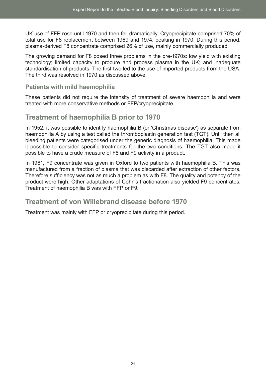<span id="page-28-0"></span>UK use of FFP rose until 1970 and then fell dramatically. Cryoprecipitate comprised 70% of total use for F8 replacement between 1969 and 1974, peaking in 1970. During this period, plasma-derived F8 concentrate comprised 26% of use, mainly commercially produced.

The growing demand for F8 posed three problems in the pre-1970s: low yield with existing technology; limited capacity to procure and process plasma in the UK; and inadequate standardisation of products. The first two led to the use of imported products from the USA. The third was resolved in 1970 as discussed above.

### **Patients with mild haemophilia**

These patients did not require the intensity of treatment of severe haemophilia and were treated with more conservative methods or FFP/cryoprecipitate.

# **Treatment of haemophilia B prior to 1970**

In 1952, it was possible to identify haemophilia B (or 'Christmas disease') as separate from haemophilia A by using a test called the thromboplastin generation test (TGT). Until then all bleeding patients were categorised under the generic diagnosis of haemophilia. This made it possible to consider specific treatments for the two conditions. The TGT also made it possible to have a crude measure of F8 and F9 activity in a product.

In 1961, F9 concentrate was given in Oxford to two patients with haemophilia B. This was manufactured from a fraction of plasma that was discarded after extraction of other factors. Therefore sufficiency was not as much a problem as with F8. The quality and potency of the product were high. Other adaptations of Cohn's fractionation also yielded F9 concentrates. Treatment of haemophilia B was with FFP or F9.

# **Treatment of von Willebrand disease before 1970**

Treatment was mainly with FFP or cryoprecipitate during this period.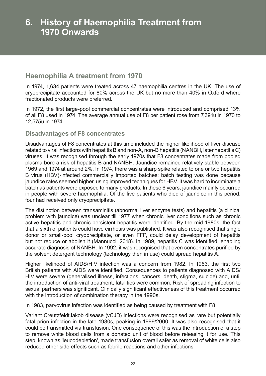# <span id="page-29-0"></span>**Haemophilia A treatment from 1970**

In 1974, 1,634 patients were treated across 47 haemophilia centres in the UK. The use of cryoprecipitate accounted for 80% across the UK but no more than 40% in Oxford where fractionated products were preferred.

In 1972, the first large-pool commercial concentrates were introduced and comprised 13% of all F8 used in 1974. The average annual use of F8 per patient rose from 7,391u in 1970 to 12,575u in 1974.

### **Disadvantages of F8 concentrates**

Disadvantages of F8 concentrates at this time included the higher likelihood of liver disease related to viral infections with hepatitis B and non-A, non-B hepatitis (NANBH, later hepatitis C) viruses. It was recognised through the early 1970s that F8 concentrates made from pooled plasma bore a risk of hepatitis B and NANBH. Jaundice remained relatively stable between 1969 and 1974 at around 2%. In 1974, there was a sharp spike related to one or two hepatitis B virus (HBV)-infected commercially imported batches: batch testing was done because jaundice rates seemed higher, using improved techniques for HBV. It was hard to incriminate a batch as patients were exposed to many products. In these 6 years, jaundice mainly occurred in people with severe haemophilia. Of the five patients who died of jaundice in this period, four had received only cryoprecipitate.

The distinction between transaminitis (abnormal liver enzyme tests) and hepatitis (a clinical problem with jaundice) was unclear till 1977 when chronic liver conditions such as chronic active hepatitis and chronic persistent hepatitis were identified. By the mid 1980s, the fact that a sixth of patients could have cirrhosis was published. It was also recognised that single donor or small-pool cryoprecipitate, or even FFP, could delay development of hepatitis but not reduce or abolish it (Mannucci, 2018). In 1989, hepatitis C was identified, enabling accurate diagnosis of NANBH. In 1992, it was recognised that even concentrates purified by the solvent detergent technology (technology then in use) could spread hepatitis A.

Higher likelihood of AIDS/HIV infection was a concern from 1982. In 1983, the first two British patients with AIDS were identified. Consequences to patients diagnosed with AIDS/ HIV were severe (generalised illness, infections, cancers, death, stigma, suicide) and, until the introduction of anti-viral treatment, fatalities were common. Risk of spreading infection to sexual partners was significant. Clinically significant effectiveness of this treatment occurred with the introduction of combination therapy in the 1990s.

In 1983, parvovirus infection was identified as being caused by treatment with F8.

Variant CreutzfeldtJakob disease (vCJD) infections were recognised as rare but potentially fatal prion infection in the late 1980s, peaking in 1999/2000. It was also recognised that it could be transmitted via transfusion. One consequence of this was the introduction of a step to remove white blood cells from a donated unit of blood before releasing it for use. This step, known as 'leucodepletion', made transfusion overall safer as removal of white cells also reduced other side effects such as febrile reactions and other infections.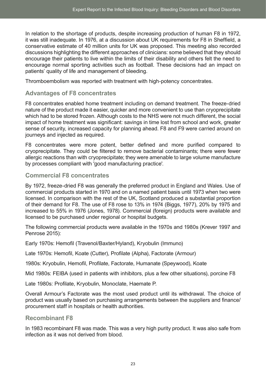<span id="page-30-0"></span>In relation to the shortage of products, despite increasing production of human F8 in 1972, it was still inadequate. In 1976, at a discussion about UK requirements for F8 in Sheffield, a conservative estimate of 40 million units for UK was proposed. This meeting also recorded discussions highlighting the different approaches of clinicians: some believed that they should encourage their patients to live within the limits of their disability and others felt the need to encourage normal sporting activities such as football. These decisions had an impact on patients' quality of life and management of bleeding.

Thromboembolism was reported with treatment with high-potency concentrates.

### **Advantages of F8 concentrates**

F8 concentrates enabled home treatment including on demand treatment. The freeze-dried nature of the product made it easier, quicker and more convenient to use than cryoprecipitate which had to be stored frozen. Although costs to the NHS were not much different, the social impact of home treatment was significant: savings in time lost from school and work, greater sense of security, increased capacity for planning ahead. F8 and F9 were carried around on journeys and injected as required.

F8 concentrates were more potent, better defined and more purified compared to cryoprecipitate. They could be filtered to remove bacterial contaminants; there were fewer allergic reactions than with cryoprecipitate; they were amenable to large volume manufacture by processes compliant with 'good manufacturing practice'.

### **Commercial F8 concentrates**

By 1972, freeze-dried F8 was generally the preferred product in England and Wales. Use of commercial products started in 1970 and on a named patient basis until 1973 when two were licensed. In comparison with the rest of the UK, Scotland produced a substantial proportion of their demand for F8. The use of F8 rose to 13% in 1974 (Biggs, 1977), 20% by 1975 and increased to 55% in 1976 (Jones, 1978). Commercial (foreign) products were available and licensed to be purchased under regional or hospital budgets.

The following commercial products were available in the 1970s and 1980s (Krever 1997 and Penrose 2015):

Early 1970s: Hemofil (Travenol/Baxter/Hyland), Kryobulin (Immuno)

Late 1970s: Hemofil, Koate (Cutter), Profilate (Alpha), Factorate (Armour)

1980s: Kryobulin, Hemofil, Profilate, Factorate, Humanate (Speywood), Koate

Mid 1980s: FEIBA (used in patients with inhibitors, plus a few other situations), porcine F8

Late 1980s: Profilate, Kryobulin, Monoclate, Haemate P.

Overall Armour's Factorate was the most used product until its withdrawal. The choice of product was usually based on purchasing arrangements between the suppliers and finance/ procurement staff in hospitals or health authorities.

### **Recombinant F8**

In 1983 recombinant F8 was made. This was a very high purity product. It was also safe from infection as it was not derived from blood.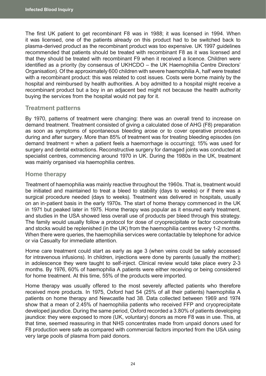<span id="page-31-0"></span>The first UK patient to get recombinant F8 was in 1988; it was licensed in 1994. When it was licensed, one of the patients already on this product had to be switched back to plasma-derived product as the recombinant product was too expensive. UK 1997 guidelines recommended that patients should be treated with recombinant F8 as it was licensed and that they should be treated with recombinant F9 when it received a licence. Children were identified as a priority (by consensus of UKHCDO – the UK Haemophilia Centre Directors' Organisation). Of the approximately 600 children with severe haemophilia A, half were treated with a recombinant product: this was related to cost issues. Costs were borne mainly by the hospital and reimbursed by health authorities. A boy admitted to a hospital might receive a recombinant product but a boy in an adjacent bed might not because the health authority buying the services from the hospital would not pay for it.

### **Treatment patterns**

By 1970, patterns of treatment were changing: there was an overall trend to increase on demand treatment. Treatment consisted of giving a calculated dose of AHG (F8) preparation as soon as symptoms of spontaneous bleeding arose or to cover operative procedures during and after surgery. More than 85% of treatment was for treating bleeding episodes (on demand treatment = when a patient feels a haemorrhage is occurring); 15% was used for surgery and dental extractions. Reconstructive surgery for damaged joints was conducted at specialist centres, commencing around 1970 in UK. During the 1980s in the UK, treatment was mainly organised via haemophilia centres.

### **Home therapy**

Treatment of haemophilia was mainly reactive throughout the 1960s. That is, treatment would be initiated and maintained to treat a bleed to stability (days to weeks) or if there was a surgical procedure needed (days to weeks). Treatment was delivered in hospitals, usually on an in-patient basis in the early 1970s. The start of home therapy commenced in the UK in 1971 but peaked later in 1975. Home therapy was popular as it ensured early treatment, and studies in the USA showed less overall use of products per bleed through this strategy. The family would usually follow a protocol for dose of cryoprecipitate or factor concentrate and stocks would be replenished (in the UK) from the haemophilia centres every 1-2 months. When there were queries, the haemophilia services were contactable by telephone for advice or via Casualty for immediate attention.

Home care treatment could start as early as age 3 (when veins could be safely accessed for intravenous infusions). In children, injections were done by parents (usually the mother): in adolescence they were taught to self-inject. Clinical review would take place every 2-3 months. By 1976, 60% of haemophilia A patients were either receiving or being considered for home treatment. At this time, 55% of the products were imported.

Home therapy was usually offered to the most severely affected patients who therefore received more products. In 1975, Oxford had 54 (25% of all their patients) haemophilia A patients on home therapy and Newcastle had 38. Data collected between 1969 and 1974 show that a mean of 2.45% of haemophilia patients who received FFP and cryoprecipitate developed jaundice. During the same period, Oxford recorded a 3.80% of patients developing jaundice: they were exposed to more (UK, voluntary) donors as more F8 was in use. This, at that time, seemed reassuring in that NHS concentrates made from unpaid donors used for F8 production were safe as compared with commercial factors imported from the USA using very large pools of plasma from paid donors.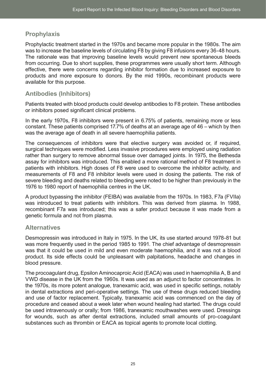### <span id="page-32-0"></span>**Prophylaxis**

Prophylactic treatment started in the 1970s and became more popular in the 1980s. The aim was to increase the baseline levels of circulating F8 by giving F8 infusions every 36-48 hours. The rationale was that improving baseline levels would prevent new spontaneous bleeds from occurring. Due to short supplies, these programmes were usually short term. Although effective, there were concerns regarding inhibitor formation due to increased exposure to products and more exposure to donors. By the mid 1990s, recombinant products were available for this purpose.

### **Antibodies (Inhibitors)**

Patients treated with blood products could develop antibodies to F8 protein. These antibodies or inhibitors posed significant clinical problems.

In the early 1970s, F8 inhibitors were present in 6.75% of patients, remaining more or less constant. These patients comprised 17.7% of deaths at an average age of 46 – which by then was the average age of death in all severe haemophilia patients.

The consequences of inhibitors were that elective surgery was avoided or, if required, surgical techniques were modified. Less invasive procedures were employed using radiation rather than surgery to remove abnormal tissue over damaged joints. In 1975, the Bethesda assay for inhibitors was introduced. This enabled a more rational method of F8 treatment in patients with inhibitors. High doses of F8 were used to overcome the inhibitor activity, and measurements of F8 and F8 inhibitor levels were used in dosing the patients. The risk of severe bleeding and deaths related to bleeding were noted to be higher than previously in the 1976 to 1980 report of haemophilia centres in the UK.

A product bypassing the inhibitor (FEIBA) was available from the 1970s. In 1983, F7a (FVIIa) was introduced to treat patients with inhibitors. This was derived from plasma. In 1988, recombinant F7a was introduced; this was a safer product because it was made from a genetic formula and not from plasma.

### **Alternatives**

Desmopressin was introduced in Italy in 1975. In the UK, its use started around 1978-81 but was more frequently used in the period 1985 to 1991. The chief advantage of desmopressin was that it could be used in mild and even moderate haemophilia, and it was not a blood product. Its side effects could be unpleasant with palpitations, headache and changes in blood pressure.

The procoagulant drug, Epsilon Aminocaproic Acid (EACA) was used in haemophilia A, B and VWD disease in the UK from the 1960s. It was used as an adjunct to factor concentrates. In the 1970s, its more potent analogue, tranexamic acid, was used in specific settings, notably in dental extractions and peri-operative settings. The use of these drugs reduced bleeding and use of factor replacement. Typically, tranexamic acid was commenced on the day of procedure and ceased about a week later when wound healing had started. The drugs could be used intravenously or orally; from 1986, tranexamic mouthwashes were used. Dressings for wounds, such as after dental extractions, included small amounts of pro-coagulant substances such as thrombin or EACA as topical agents to promote local clotting.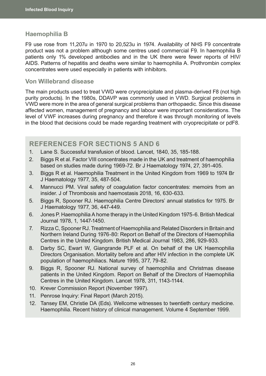### <span id="page-33-0"></span>**Haemophilia B**

F9 use rose from 11,207u in 1970 to 20,523u in 1974. Availability of NHS F9 concentrate product was not a problem although some centres used commercial F9. In haemophilia B patients only 1% developed antibodies and in the UK there were fewer reports of HIV/ AIDS. Patterns of hepatitis and deaths were similar to haemophilia A. Prothrombin complex concentrates were used especially in patients with inhibitors.

### **Von Willebrand disease**

The main products used to treat VWD were cryoprecipitate and plasma-derived F8 (not high purity products). In the 1980s, DDAVP was commonly used in VWD. Surgical problems in VWD were more in the area of general surgical problems than orthopaedic. Since this disease affected women, management of pregnancy and labour were important considerations. The level of VWF increases during pregnancy and therefore it was through monitoring of levels in the blood that decisions could be made regarding treatment with cryoprecipitate or pdF8.

### **REFERENCES FOR SECTIONS 5 AND 6**

- 1. Lane S. Successful transfusion of blood. Lancet, 1840, 35, 185-188.
- 2. Biggs R et al. Factor VIII concentrates made in the UK and treatment of haemophilia based on studies made during 1969-72. Br J Haematology 1974, 27, 391-405.
- 3. Biggs R et al. Haemophilia Treatment in the United Kingdom from 1969 to 1974 Br J Haematology 1977, 35, 487-504.
- 4. Mannucci PM. Viral safety of coagulation factor concentrates: memoirs from an insider. J of Thrombosis and haemostasis 2018, 16, 630-633.
- 5. Biggs R, Spooner RJ. Haemophilia Centre Directors' annual statistics for 1975. Br J Haematology 1977, 36, 447-449.
- 6. Jones P. Haemophilia A home therapy in the United Kingdom 1975-6. British Medical Journal 1978, 1, 1447-1450.
- 7. Rizza C, Spooner RJ. Treatment of Haemophilia and Related Disorders in Britain and Northern Ireland During 1976-80: Report on Behalf of the Directors of Haemophilia Centres in the United Kingdom. British Medical Journal 1983, 286, 929-933.
- 8. Darby SC, Ewart W, Giangrande PLF et al. On behalf of the UK Haemophilia Directors Organisation. Mortality before and after HIV infection in the complete UK population of haemophiliacs. Nature 1995, 377, 79-82.
- 9. Biggs R, Spooner RJ. National survey of haemophilia and Christmas disease patients in the United Kingdom. Report on Behalf of the Directors of Haemophilia Centres in the United Kingdom. Lancet 1978, 311, 1143-1144.
- 10. Krever Commission Report (November 1997).
- 11. Penrose Inquiry: Final Report (March 2015).
- 12. Tansey EM, Christie DA (Eds). Wellcome witnesses to twentieth century medicine. Haemophilia. Recent history of clinical management. Volume 4 September 1999.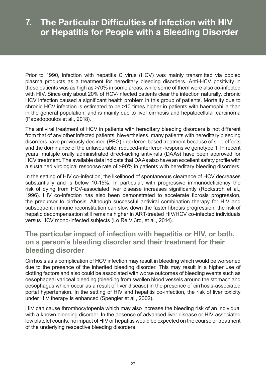# <span id="page-34-0"></span>**7. The Particular Difficulties of Infection with HIV or Hepatitis for People with a Bleeding Disorder**

Prior to 1990, infection with hepatitis C virus (HCV) was mainly transmitted via pooled plasma products as a treatment for hereditary bleeding disorders. Anti-HCV positivity in these patients was as high as >70% in some areas, while some of them were also co-infected with HIV. Since only about 20% of HCV-infected patients clear the infection naturally, chronic HCV infection caused a significant health problem in this group of patients. Mortality due to chronic HCV infection is estimated to be >10 times higher in patients with haemophilia than in the general population, and is mainly due to liver cirrhosis and hepatocellular carcinoma (Papadopoulos et al., 2018).

The antiviral treatment of HCV in patients with hereditary bleeding disorders is not different from that of any other infected patients. Nevertheless, many patients with hereditary bleeding disorders have previously declined (PEG)-interferon-based treatment because of side effects and the dominance of the unfavourable, reduced-interferon-responsive genotype 1. In recent years, multiple orally administrated direct-acting antivirals (DAAs) have been approved for HCV treatment. The available data indicate that DAAs also have an excellent safety profile with a sustained virological response rate of >90% in patients with hereditary bleeding disorders.

In the setting of HIV co-infection, the likelihood of spontaneous clearance of HCV decreases substantially and is below 10-15%. In particular, with progressive immunodeficiency the risk of dying from HCV-associated liver disease increases significantly (Rockstroh et al., 1996). HIV co-infection has also been demonstrated to accelerate fibrosis progression, the precursor to cirrhosis. Although successful antiviral combination therapy for HIV and subsequent immune reconstitution can slow down the faster fibrosis progression, the risk of hepatic decompensation still remains higher in ART-treated HIV/HCV co-infected individuals versus HCV mono-infected subjects (Lo Re V 3rd, et al., 2014).

# **The particular impact of infection with hepatitis or HIV, or both, on a person's bleeding disorder and their treatment for their bleeding disorder**

Cirrhosis as a complication of HCV infection may result in bleeding which would be worsened due to the presence of the inherited bleeding disorder. This may result in a higher use of clotting factors and also could be associated with worse outcomes of bleeding events such as oesophageal variceal bleeding (bleeding from swollen blood vessels around the stomach and oesophagus which occur as a result of liver disease) in the presence of cirrhosis-associated portal hypertension. In the setting of HIV and hepatitis co-infection, the risk of liver toxicity under HIV therapy is enhanced (Spengler et al., 2002).

HIV can cause thrombocytopenia which may also increase the bleeding risk of an individual with a known bleeding disorder. In the absence of advanced liver disease or HIV-associated low platelet counts, no impact of HIV or hepatitis would be expected on the course or treatment of the underlying respective bleeding disorders.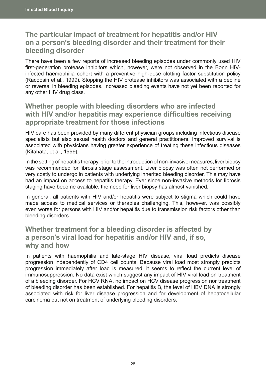# <span id="page-35-0"></span>**The particular impact of treatment for hepatitis and/or HIV on a person's bleeding disorder and their treatment for their bleeding disorder**

There have been a few reports of increased bleeding episodes under commonly used HIV first-generation protease inhibitors which, however, were not observed in the Bonn HIVinfected haemophilia cohort with a preventive high-dose clotting factor substitution policy (Racoosin et al., 1999). Stopping the HIV protease inhibitors was associated with a decline or reversal in bleeding episodes. Increased bleeding events have not yet been reported for any other HIV drug class.

# **Whether people with bleeding disorders who are infected with HIV and/or hepatitis may experience difficulties receiving appropriate treatment for those infections**

HIV care has been provided by many different physician groups including infectious disease specialists but also sexual health doctors and general practitioners. Improved survival is associated with physicians having greater experience of treating these infectious diseases (Kitahata, et al., 1999).

In the setting of hepatitis therapy, prior to the introduction of non-invasive measures, liver biopsy was recommended for fibrosis stage assessment. Liver biopsy was often not performed or very costly to undergo in patients with underlying inherited bleeding disorder. This may have had an impact on access to hepatitis therapy. Ever since non-invasive methods for fibrosis staging have become available, the need for liver biopsy has almost vanished.

In general, all patients with HIV and/or hepatitis were subject to stigma which could have made access to medical services or therapies challenging. This, however, was possibly even worse for persons with HIV and/or hepatitis due to transmission risk factors other than bleeding disorders.

# **Whether treatment for a bleeding disorder is affected by a person's viral load for hepatitis and/or HIV and, if so, why and how**

In patients with haemophilia and late-stage HIV disease, viral load predicts disease progression independently of CD4 cell counts. Because viral load most strongly predicts progression immediately after load is measured, it seems to reflect the current level of immunosuppression. No data exist which suggest any impact of HIV viral load on treatment of a bleeding disorder. For HCV RNA, no impact on HCV disease progression nor treatment of bleeding disorder has been established. For hepatitis B, the level of HBV DNA is strongly associated with risk for liver disease progression and for development of hepatocellular carcinoma but not on treatment of underlying bleeding disorders.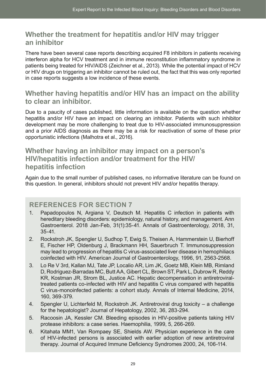# **Whether the treatment for hepatitis and/or HIV may trigger an inhibitor**

There have been several case reports describing acquired F8 inhibitors in patients receiving interferon alpha for HCV treatment and in immune reconstitution inflammatory syndrome in patients being treated for HIV/AIDS (Zeichner et al., 2013). While the potential impact of HCV or HIV drugs on triggering an inhibitor cannot be ruled out, the fact that this was only reported in case reports suggests a low incidence of these events.

## **Whether having hepatitis and/or HIV has an impact on the ability to clear an inhibitor.**

Due to a paucity of cases published, little information is available on the question whether hepatitis and/or HIV have an impact on clearing an inhibitor. Patients with such inhibitor development may be more challenging to treat due to HIV-associated immunosuppression and a prior AIDS diagnosis as there may be a risk for reactivation of some of these prior opportunistic infections (Malhotra et al., 2016).

# **Whether having an inhibitor may impact on a person's HIV/hepatitis infection and/or treatment for the HIV/ hepatitis infection**

Again due to the small number of published cases, no informative literature can be found on this question. In general, inhibitors should not prevent HIV and/or hepatitis therapy.

## **REFERENCES FOR SECTION 7**

- 1. Papadopoulos N, Argiana V, Deutsch M. Hepatitis C infection in patients with hereditary bleeding disorders: epidemiology, natural history, and management. Ann Gastroenterol. 2018 Jan-Feb, 31(1):35-41. Annals of Gastroenterology, 2018, 31, 35-41.
- 2. Rockstroh JK, Spengler U, Sudhop T, Ewig S, Theisen A, Hammerstein U, Bierhoff E, Fischer HP, Oldenburg J, Brackmann HH, Sauerbruch T. Immunosuppression may lead to progression of hepatitis C virus-associated liver disease in hemophiliacs coinfected with HIV. American Journal of Gastroenterology, 1996, 91, 2563‑2568.
- 3. Lo Re V 3rd, Kallan MJ, Tate JP, Localio AR, Lim JK, Goetz MB, Klein MB, Rimland D, Rodriguez-Barradas MC, Butt AA, Gibert CL, Brown ST, Park L, Dubrow R, Reddy KR, Kostman JR, Strom BL, Justice AC. Hepatic decompensation in antiretroviraltreated patients co-infected with HIV and hepatitis C virus compared with hepatitis C virus-monoinfected patients: a cohort study. Annals of Internal Medicine, 2014, 160, 369-379.
- 4. Spengler U, Lichterfeld M, Rockstroh JK. Antiretroviral drug toxicity a challenge for the hepatologist? Journal of Hepatology, 2002, 36, 283-294.
- 5. Racoosin JA, Kessler CM. Bleeding episodes in HIV-positive patients taking HIV protease inhibitors: a case series. Haemophilia, 1999, 5, 266-269.
- 6. Kitahata MM1, Van Rompaey SE, Shields AW. Physician experience in the care of HIV-infected persons is associated with earlier adoption of new antiretroviral therapy. Journal of Acquired Immune Deficiency Syndromes 2000, 24, 106‑114.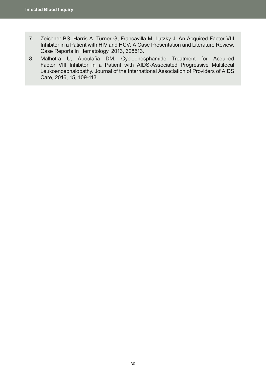- 7. Zeichner BS, Harris A, Turner G, Francavilla M, Lutzky J. An Acquired Factor VIII Inhibitor in a Patient with HIV and HCV: A Case Presentation and Literature Review. Case Reports in Hematology, 2013, 628513.
- 8. Malhotra U, Aboulafia DM. Cyclophosphamide Treatment for Acquired Factor VIII Inhibitor in a Patient with AIDS-Associated Progressive Multifocal Leukoencephalopathy. Journal of the International Association of Providers of AIDS Care, 2016, 15, 109-113.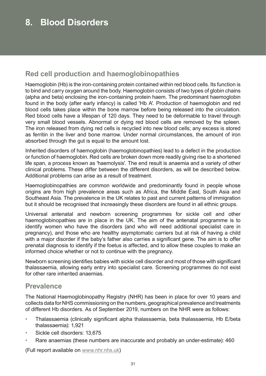# **Red cell production and haemoglobinopathies**

Haemoglobin (Hb) is the iron-containing protein contained within red blood cells. Its function is to bind and carry oxygen around the body. Haemoglobin consists of two types of globin chains (alpha and beta) enclosing the iron-containing protein haem. The predominant haemoglobin found in the body (after early infancy) is called 'Hb A'. Production of haemoglobin and red blood cells takes place within the bone marrow before being released into the circulation. Red blood cells have a lifespan of 120 days. They need to be deformable to travel through very small blood vessels. Abnormal or dying red blood cells are removed by the spleen. The iron released from dying red cells is recycled into new blood cells; any excess is stored as ferritin in the liver and bone marrow. Under normal circumstances, the amount of iron absorbed through the gut is equal to the amount lost.

Inherited disorders of haemoglobin (haemoglobinopathies) lead to a defect in the production or function of haemoglobin. Red cells are broken down more readily giving rise to a shortened life span, a process known as 'haemolysis'. The end result is anaemia and a variety of other clinical problems. These differ between the different disorders, as will be described below. Additional problems can arise as a result of treatment.

Haemoglobinopathies are common worldwide and predominantly found in people whose origins are from high prevalence areas such as Africa, the Middle East, South Asia and Southeast Asia. The prevalence in the UK relates to past and current patterns of immigration but it should be recognised that increasingly these disorders are found in all ethnic groups.

Universal antenatal and newborn screening programmes for sickle cell and other haemoglobinopathies are in place in the UK. The aim of the antenatal programme is to identify women who have the disorders (and who will need additional specialist care in pregnancy), and those who are healthy asymptomatic carriers but at risk of having a child with a major disorder if the baby's father also carries a significant gene. The aim is to offer prenatal diagnosis to identify if the foetus is affected, and to allow these couples to make an informed choice whether or not to continue with the pregnancy.

Newborn screening identifies babies with sickle cell disorder and most of those with significant thalassaemia, allowing early entry into specialist care. Screening programmes do not exist for other rare inherited anaemias.

# **Prevalence**

The National Haemoglobinopathy Registry (NHR) has been in place for over 10 years and collects data for NHS commissioning on the numbers, geographical prevalence and treatments of different Hb disorders. As of September 2019, numbers on the NHR were as follows:

- Thalassaemia (clinically significant alpha thalassaemia, beta thalassaemia, Hb E/beta thalassaemia): 1,921
- Sickle cell disorders: 13,675
- Rare anaemias (these numbers are inaccurate and probably an under-estimate): 460

(Full report available on [www.nhr.nhs.uk](http://www.nhr.nhs.uk))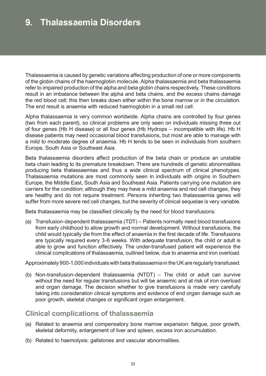# **9. Thalassaemia Disorders**

Thalassaemia is caused by genetic variations affecting production of one or more components of the globin chains of the haemoglobin molecule. Alpha thalassaemia and beta thalassaemia refer to impaired production of the alpha and beta globin chains respectively. These conditions result in an imbalance between the alpha and beta chains, and the excess chains damage the red blood cell; this then breaks down either within the bone marrow or in the circulation. The end result is anaemia with reduced haemoglobin in a small red cell.

Alpha thalassaemia is very common worldwide. Alpha chains are controlled by four genes (two from each parent), so clinical problems are only seen on individuals missing three out of four genes (Hb H disease) or all four genes (Hb Hydrops – incompatible with life). Hb H disease patients may need occasional blood transfusions, but most are able to manage with a mild to moderate degree of anaemia. Hb H tends to be seen in individuals from southern Europe, South Asia or Southeast Asia.

Beta thalassaemia disorders affect production of the beta chain or produce an unstable beta chain leading to its premature breakdown. There are hundreds of genetic abnormalities producing beta thalassaemias and thus a wide clinical spectrum of clinical phenotypes. Thalassaemia mutations are most commonly seen in individuals with origins in Southern Europe, the Middle East, South Asia and Southeast Asia. Patients carrying one mutation are carriers for the condition; although they may have a mild anaemia and red cell changes, they are healthy and do not require treatment. Persons inheriting two thalassaemia genes will suffer from more severe red cell changes, but the severity of clinical sequelae is very variable.

Beta thalassaemia may be classified clinically by the need for blood transfusions:

(a) Transfusion-dependent thalassaemia (TDT) – Patients normally need blood transfusions from early childhood to allow growth and normal development. Without transfusions, the child would typically die from the effect of anaemia in the first decade of life. Transfusions are typically required every 3-6 weeks. With adequate transfusion, the child or adult is able to grow and function effectively. The under-transfused patient will experience the clinical complications of thalassaemia, outlined below, due to anaemia and iron overload.

Approximately 900-1,000 individuals with beta thalassaemia in the UK are regularly transfused.

(b) Non-transfusion-dependent thalassaemia (NTDT) – The child or adult can survive without the need for regular transfusions but will be anaemic and at risk of iron overload and organ damage. The decision whether to give transfusions is made very carefully taking into consideration clinical symptoms and evidence of end organ damage such as poor growth, skeletal changes or significant organ enlargement.

## **Clinical complications of thalassaemia**

- (a) Related to anaemia and compensatory bone marrow expansion: fatigue, poor growth, skeletal deformity, enlargement of liver and spleen, excess iron accumulation.
- (b) Related to haemolysis: gallstones and vascular abnormalities.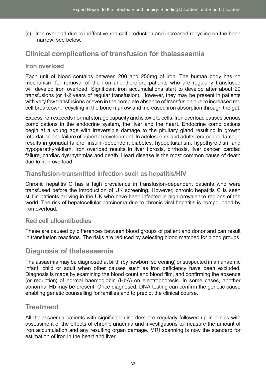(c) Iron overload due to ineffective red cell production and increased recycling on the bone marrow: see below.

# **Clinical complications of transfusion for thalassaemia**

## **Iron overload**

Each unit of blood contains between 200 and 250mg of iron. The human body has no mechanism for removal of the iron and therefore patients who are regularly transfused will develop iron overload. Significant iron accumulations start to develop after about 20 transfusions (or 1-2 years of regular transfusion). However, they may be present in patients with very few transfusions or even in the complete absence of transfusion due to increased red cell breakdown, recycling in the bone marrow and increased iron absorption through the gut.

Excess iron exceeds normal storage capacity and is toxic to cells. Iron overload causes serious complications in the endocrine system, the liver and the heart. Endocrine complications begin at a young age with irreversible damage to the pituitary gland resulting in growth retardation and failure of pubertal development. In adolescents and adults, endocrine damage results in gonadal failure, insulin-dependent diabetes, hypopituitarism, hypothyroidism and hypoparathyroidism. Iron overload results in liver fibrosis, cirrhosis, liver cancer, cardiac failure, cardiac dysrhythmias and death. Heart disease is the most common cause of death due to iron overload.

## **Transfusion-transmitted infection such as hepatitis/HIV**

Chronic hepatitis C has a high prevalence in transfusion-dependent patients who were transfused before the introduction of UK screening. However, chronic hepatitis C is seen still in patients arriving in the UK who have been infected in high-prevalence regions of the world. The risk of hepatocellular carcinoma due to chronic viral hepatitis is compounded by iron overload.

### **Red cell alloantibodies**

These are caused by differences between blood groups of patient and donor and can result in transfusion reactions. The risks are reduced by selecting blood matched for blood groups.

## **Diagnosis of thalassaemia**

Thalassaemia may be diagnosed at birth (by newborn screening) or suspected in an anaemic infant, child or adult when other causes such as iron deficiency have been excluded. Diagnosis is made by examining the blood count and blood film, and confirming the absence (or reduction) of normal haemoglobin (HbA) on electrophoresis. In some cases, another abnormal Hb may be present. Once diagnosed, DNA testing can confirm the genetic cause enabling genetic counselling for families and to predict the clinical course.

## **Treatment**

All thalassaemia patients with significant disorders are regularly followed up in clinics with assessment of the effects of chronic anaemia and investigations to measure the amount of iron accumulation and any resulting organ damage. MRI scanning is now the standard for estimation of iron in the heart and liver.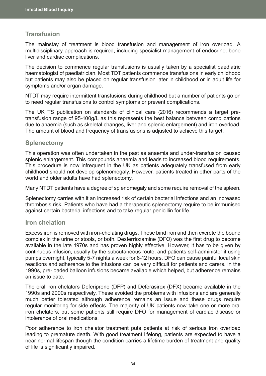## **Transfusion**

The mainstay of treatment is blood transfusion and management of iron overload. A multidisciplinary approach is required, including specialist management of endocrine, bone liver and cardiac complications.

The decision to commence regular transfusions is usually taken by a specialist paediatric haematologist of paediatrician. Most TDT patients commence transfusions in early childhood but patients may also be placed on regular transfusion later in childhood or in adult life for symptoms and/or organ damage.

NTDT may require intermittent transfusions during childhood but a number of patients go on to need regular transfusions to control symptoms or prevent complications.

The UK TS publication on standards of clinical care (2016) recommends a target pretransfusion range of 95-100g/L as this represents the best balance between complications due to anaemia (such as skeletal changes, liver and splenic enlargement) and iron overload. The amount of blood and frequency of transfusions is adjusted to achieve this target.

#### **Splenectomy**

This operation was often undertaken in the past as anaemia and under-transfusion caused splenic enlargement. This compounds anaemia and leads to increased blood requirements. This procedure is now infrequent in the UK as patients adequately transfused from early childhood should not develop splenomegaly. However, patients treated in other parts of the world and older adults have had splenectomy.

Many NTDT patients have a degree of splenomegaly and some require removal of the spleen.

Splenectomy carries with it an increased risk of certain bacterial infections and an increased thrombosis risk. Patients who have had a therapeutic splenectomy require to be immunised against certain bacterial infections and to take regular penicillin for life.

#### **Iron chelation**

Excess iron is removed with iron-chelating drugs. These bind iron and then excrete the bound complex in the urine or stools, or both. Desferrioxamine (DFO) was the first drug to become available in the late 1970s and has proven highly effective. However, it has to be given by continuous infusion, usually by the subcutaneous route, and patients self-administer it using pumps overnight, typically 5-7 nights a week for 8-12 hours. DFO can cause painful local skin reactions and adherence to the infusions can be very difficult for patients and carers. In the 1990s, pre-loaded balloon infusions became available which helped, but adherence remains an issue to date.

The oral iron chelators Deferiprone (DFP) and Deferasirox (DFX) became available in the 1990s and 2000s respectively. These avoided the problems with infusions and are generally much better tolerated although adherence remains an issue and these drugs require regular monitoring for side effects. The majority of UK patients now take one or more oral iron chelators, but some patients still require DFO for management of cardiac disease or intolerance of oral medications.

Poor adherence to iron chelator treatment puts patients at risk of serious iron overload leading to premature death. With good treatment lifelong, patients are expected to have a near normal lifespan though the condition carries a lifetime burden of treatment and quality of life is significantly impaired.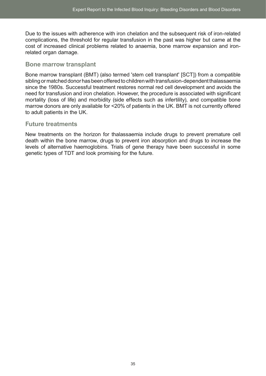Due to the issues with adherence with iron chelation and the subsequent risk of iron-related complications, the threshold for regular transfusion in the past was higher but came at the cost of increased clinical problems related to anaemia, bone marrow expansion and ironrelated organ damage.

## **Bone marrow transplant**

Bone marrow transplant (BMT) (also termed 'stem cell transplant' [SCT]) from a compatible sibling or matched donor has been offered to children with transfusion-dependent thalassaemia since the 1980s. Successful treatment restores normal red cell development and avoids the need for transfusion and iron chelation. However, the procedure is associated with significant mortality (loss of life) and morbidity (side effects such as infertility), and compatible bone marrow donors are only available for <20% of patients in the UK. BMT is not currently offered to adult patients in the UK.

#### **Future treatments**

New treatments on the horizon for thalassaemia include drugs to prevent premature cell death within the bone marrow, drugs to prevent iron absorption and drugs to increase the levels of alternative haemoglobins. Trials of gene therapy have been successful in some genetic types of TDT and look promising for the future.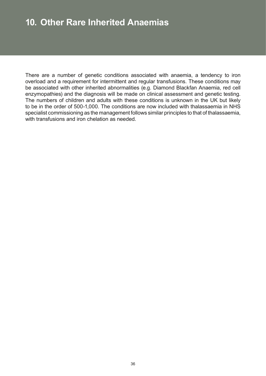# **10. Other Rare Inherited Anaemias**

There are a number of genetic conditions associated with anaemia, a tendency to iron overload and a requirement for intermittent and regular transfusions. These conditions may be associated with other inherited abnormalities (e.g. Diamond Blackfan Anaemia, red cell enzymopathies) and the diagnosis will be made on clinical assessment and genetic testing. The numbers of children and adults with these conditions is unknown in the UK but likely to be in the order of 500-1,000. The conditions are now included with thalassaemia in NHS specialist commissioning as the management follows similar principles to that of thalassaemia, with transfusions and iron chelation as needed.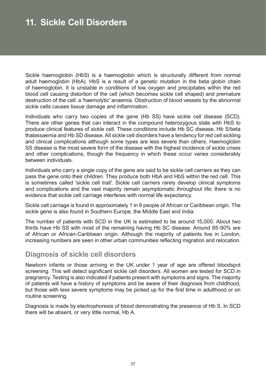# **11. Sickle Cell Disorders**

Sickle haemoglobin (HbS) is a haemoglobin which is structurally different from normal adult haemoglobin (HbA). HbS is a result of a genetic mutation in the beta globin chain of haemoglobin. It is unstable in conditions of low oxygen and precipitates within the red blood cell causing distortion of the cell (which becomes sickle cell shaped) and premature destruction of the cell: a 'haemolytic' anaemia. Obstruction of blood vessels by the abnormal sickle cells causes tissue damage and inflammation.

Individuals who carry two copies of the gene (Hb SS) have sickle cell disease (SCD). There are other genes that can interact in the compound heterozygous state with HbS to produce clinical features of sickle cell. These conditions include Hb SC disease, Hb S/beta thalassaemia and Hb SD disease. All sickle cell disorders have a tendency for red cell sickling and clinical complications although some types are less severe than others. Haemoglobin SS disease is the most severe form of the disease with the highest incidence of sickle crises and other complications, though the frequency in which these occur varies considerably between individuals.

Individuals who carry a single copy of the gene are said to be sickle cell carriers as they can pass the gene onto their children. They produce both HbA and HbS within the red cell. This is sometimes called 'sickle cell trait'. Sickle cell carriers rarely develop clinical symptoms and complications and the vast majority remain asymptomatic throughout life; there is no evidence that sickle cell carriage interferes with normal life expectancy.

Sickle cell carriage is found in approximately 1 in 9 people of African or Caribbean origin. The sickle gene is also found in Southern Europe, the Middle East and India.

The number of patients with SCD in the UK is estimated to be around 15,000. About two thirds have Hb SS with most of the remaining having Hb SC disease. Around 85-90% are of African or African-Caribbean origin. Although the majority of patients live in London, increasing numbers are seen in other urban communities reflecting migration and relocation.

## **Diagnosis of sickle cell disorders**

Newborn infants or those arriving in the UK under 1 year of age are offered bloodspot screening. This will detect significant sickle cell disorders. All women are tested for SCD in pregnancy. Testing is also indicated if patients present with symptoms and signs. The majority of patients will have a history of symptoms and be aware of their diagnosis from childhood, but those with less severe symptoms may be picked up for the first time in adulthood or on routine screening.

Diagnosis is made by electrophoresis of blood demonstrating the presence of Hb S. In SCD there will be absent, or very little normal, Hb A.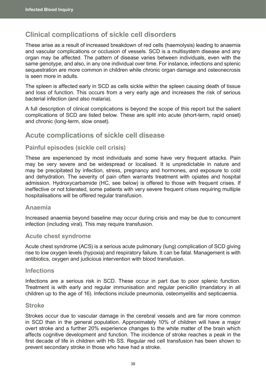# **Clinical complications of sickle cell disorders**

These arise as a result of increased breakdown of red cells (haemolysis) leading to anaemia and vascular complications or occlusion of vessels. SCD is a multisystem disease and any organ may be affected. The pattern of disease varies between individuals, even with the same genotype, and also, in any one individual over time. For instance, infections and splenic sequestration are more common in children while chronic organ damage and osteonecrosis is seen more in adults.

The spleen is affected early in SCD as cells sickle within the spleen causing death of tissue and loss of function. This occurs from a very early age and increases the risk of serious bacterial infection (and also malaria).

A full description of clinical complications is beyond the scope of this report but the salient complications of SCD are listed below. These are split into acute (short-term, rapid onset) and chronic (long-term, slow onset).

## **Acute complications of sickle cell disease**

### **Painful episodes (sickle cell crisis)**

These are experienced by most individuals and some have very frequent attacks. Pain may be very severe and be widespread or localised. It is unpredictable in nature and may be precipitated by infection, stress, pregnancy and hormones, and exposure to cold and dehydration. The severity of pain often warrants treatment with opiates and hospital admission. Hydroxycarbamide (HC, see below) is offered to those with frequent crises. If ineffective or not tolerated, some patients with very severe frequent crises requiring multiple hospitalisations will be offered regular transfusion.

### **Anaemia**

Increased anaemia beyond baseline may occur during crisis and may be due to concurrent infection (including viral). This may require transfusion.

### **Acute chest syndrome**

Acute chest syndrome (ACS) is a serious acute pulmonary (lung) complication of SCD giving rise to low oxygen levels (hypoxia) and respiratory failure. It can be fatal. Management is with antibiotics, oxygen and judicious intervention with blood transfusion.

#### **Infections**

Infections are a serious risk in SCD. These occur in part due to poor splenic function. Treatment is with early and regular immunisation and regular penicillin (mandatory in all children up to the age of 16). Infections include pneumonia, osteomyelitis and septicaemia.

#### **Stroke**

Strokes occur due to vascular damage in the cerebral vessels and are far more common in SCD than in the general population. Approximately 10% of children will have a major overt stroke and a further 20% experience changes to the white matter of the brain which affects cognitive development and function. The incidence of stroke reaches a peak in the first decade of life in children with Hb SS. Regular red cell transfusion has been shown to prevent secondary stroke in those who have had a stroke.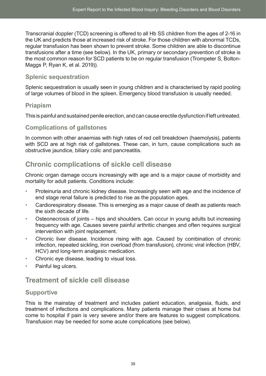Transcranial doppler (TCD) screening is offered to all Hb SS children from the ages of 2-16 in the UK and predicts those at increased risk of stroke. For those children with abnormal TCDs, regular transfusion has been shown to prevent stroke. Some children are able to discontinue transfusions after a time (see below). In the UK, primary or secondary prevention of stroke is the most common reason for SCD patients to be on regular transfusion (Trompeter S, Bolton-Maggs P, Ryan K, et al. 2019)).

## **Splenic sequestration**

Splenic sequestration is usually seen in young children and is characterised by rapid pooling of large volumes of blood in the spleen. Emergency blood transfusion is usually needed.

## **Priapism**

This is painful and sustained penile erection, and can cause erectile dysfunction if left untreated.

## **Complications of gallstones**

In common with other anaemias with high rates of red cell breakdown (haemolysis), patients with SCD are at high risk of gallstones. These can, in turn, cause complications such as obstructive jaundice, biliary colic and pancreatitis.

# **Chronic complications of sickle cell disease**

Chronic organ damage occurs increasingly with age and is a major cause of morbidity and mortality for adult patients. Conditions include:

- Proteinuria and chronic kidney disease. Increasingly seen with age and the incidence of end stage renal failure is predicted to rise as the population ages.
- Cardiorespiratory disease. This is emerging as a major cause of death as patients reach the sixth decade of life.
- Osteonecrosis of joints hips and shoulders. Can occur in young adults but increasing frequency with age. Causes severe painful arthritic changes and often requires surgical intervention with joint replacement.
- Chronic liver disease. Incidence rising with age. Caused by combination of chronic infection, repeated sickling, iron overload (from transfusion), chronic viral infection (HBV, HCV) and long-term analgesic medication.
- Chronic eye disease, leading to visual loss.
- Painful leg ulcers.

# **Treatment of sickle cell disease**

## **Supportive**

This is the mainstay of treatment and includes patient education, analgesia, fluids, and treatment of infections and complications. Many patients manage their crises at home but come to hospital if pain is very severe and/or there are features to suggest complications. Transfusion may be needed for some acute complications (see below).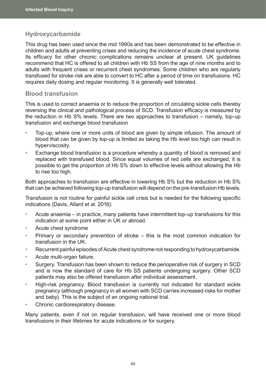## **Hydroxycarbamide**

This drug has been used since the mid 1990s and has been demonstrated to be effective in children and adults at preventing crises and reducing the incidence of acute chest syndrome. Its efficacy for other chronic complications remains unclear at present. UK guidelines recommend that HC is offered to all children with Hb SS from the age of nine months and to adults with frequent crises or recurrent chest syndromes. Some children who are regularly transfused for stroke risk are able to convert to HC after a period of time on transfusions. HC requires daily dosing and regular monitoring. It is generally well tolerated.

### **Blood transfusion**

This is used to correct anaemia or to reduce the proportion of circulating sickle cells thereby reversing the clinical and pathological process of SCD. Transfusion efficacy is measured by the reduction in Hb S% levels. There are two approaches to transfusion – namely, top-up transfusion and exchange blood transfusion

- Top-up, where one or more units of blood are given by simple infusion. The amount of blood that can be given by top-up is limited as taking the Hb level too high can result in hyperviscosity.
- Exchange blood transfusion is a procedure whereby a quantity of blood is removed and replaced with transfused blood. Since equal volumes of red cells are exchanged, it is possible to get the proportion of Hb S% down to effective levels without allowing the Hb to rise too high.

Both approaches to transfusion are effective in lowering Hb S% but the reduction in Hb S% that can be achieved following top-up transfusion will depend on the pre-transfusion Hb levels.

Transfusion is not routine for painful sickle cell crisis but is needed for the following specific indications (Davis, Allard et al. 2016):

- Acute anaemia in practice, many patients have intermittent top-up transfusions for this indication at some point either in UK or abroad.
- Acute chest syndrome
- Primary or secondary prevention of stroke this is the most common indication for transfusion in the UK.
- Recurrent painful episodes of Acute chest syndrome not responding to hydroxycarbamide.
- Acute multi-organ failure.
- Surgery. Transfusion has been shown to reduce the perioperative risk of surgery in SCD and is now the standard of care for Hb SS patients undergoing surgery. Other SCD patients may also be offered transfusion after individual assessment.
- High-risk pregnancy. Blood transfusion is currently not indicated for standard sickle pregnancy (although pregnancy in all women with SCD carries increased risks for mother and baby). This is the subject of an ongoing national trial.
- Chronic cardiorespiratory disease.

Many patients, even if not on regular transfusion, will have received one or more blood transfusions in their lifetimes for acute indications or for surgery.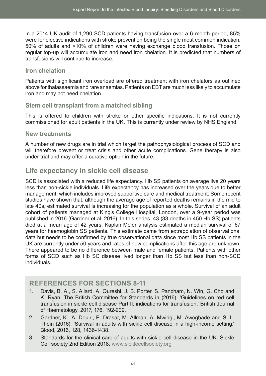In a 2014 UK audit of 1,290 SCD patients having transfusion over a 6-month period, 85% were for elective indications with stroke prevention being the single most common indication; 50% of adults and <10% of children were having exchange blood transfusion. Those on regular top-up will accumulate iron and need iron chelation. It is predicted that numbers of transfusions will continue to increase.

### **Iron chelation**

Patients with significant iron overload are offered treatment with iron chelators as outlined above for thalassaemia and rare anaemias. Patients on EBT are much less likely to accumulate iron and may not need chelation.

## **Stem cell transplant from a matched sibling**

This is offered to children with stroke or other specific indications. It is not currently commissioned for adult patients in the UK. This is currently under review by NHS England.

### **New treatments**

A number of new drugs are in trial which target the pathophysiological process of SCD and will therefore prevent or treat crisis and other acute complications. Gene therapy is also under trial and may offer a curative option in the future.

# **Life expectancy in sickle cell disease**

SCD is associated with a reduced life expectancy. Hb SS patients on average live 20 years less than non-sickle individuals. Life expectancy has increased over the years due to better management, which includes improved supportive care and medical treatment. Some recent studies have shown that, although the average age of reported deaths remains in the mid to late 40s, estimated survival is increasing for the population as a whole. Survival of an adult cohort of patients managed at King's College Hospital, London, over a 9-year period was published in 2016 (Gardner et al. 2016). In this series, 43 (33 deaths in 450 Hb SS) patients died at a mean age of 42 years. Kaplan Meier analysis estimated a median survival of 67 years for haemoglobin SS patients. This estimate came from extrapolation of observational data but needs to be confirmed by true observational data since most Hb SS patients in the UK are currently under 50 years and rates of new complications after this age are unknown. There appeared to be no difference between male and female patients. Patients with other forms of SCD such as Hb SC disease lived longer than Hb SS but less than non-SCD individuals.

## **REFERENCES FOR SECTIONS 8-11**

- 1. Davis, B. A., S. Allard, A. Qureshi, J. B. Porter, S. Pancham, N. Win, G. Cho and K. Ryan. The British Committee for Standards in (2016). 'Guidelines on red cell transfusion in sickle cell disease Part II: indications for transfusion.' British Journal of Haematology, 2017, 176, 192-209.
- 2. Gardner, K., A. Douiri, E. Drasar, M. Allman, A. Mwirigi, M. Awogbade and S. L. Thein (2016). 'Survival in adults with sickle cell disease in a high-income setting.' Blood, 2016, 128, 1436-1438.
- 3. Standards for the clinical care of adults with sickle cell disease in the UK. Sickle Cell society 2nd Edition 2018. [www.sicklecellsociety.org](http://www.sicklecellsociety.org)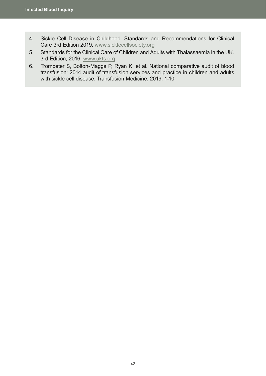- 4. Sickle Cell Disease in Childhood: Standards and Recommendations for Clinical Care 3rd Edition 2019. [www.sicklecellsociety.org](http://www.sicklecellsociety.org)
- 5. Standards for the Clinical Care of Children and Adults with Thalassaemia in the UK. 3rd Edition, 2016. [www.ukts.org](http://www.ukts.org)
- 6. Trompeter S, Bolton-Maggs P, Ryan K, et al. National comparative audit of blood transfusion: 2014 audit of transfusion services and practice in children and adults with sickle cell disease. Transfusion Medicine, 2019, 1-10.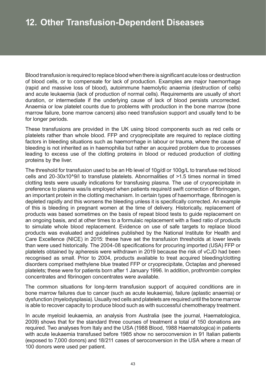Blood transfusion is required to replace blood when there is significant acute loss or destruction of blood cells, or to compensate for lack of production. Examples are major haemorrhage (rapid and massive loss of blood), autoimmune haemolytic anaemia (destruction of cells) and acute leukaemia (lack of production of normal cells). Requirements are usually of short duration, or intermediate if the underlying cause of lack of blood persists uncorrected. Anaemia or low platelet counts due to problems with production in the bone marrow (bone marrow failure, bone marrow cancers) also need transfusion support and usually tend to be for longer periods.

These transfusions are provided in the UK using blood components such as red cells or platelets rather than whole blood. FFP and cryoprecipitate are required to replace clotting factors in bleeding situations such as haemorrhage in labour or trauma, where the cause of bleeding is not inherited as in haemophilia but rather an acquired problem due to processes leading to excess use of the clotting proteins in blood or reduced production of clotting proteins by the liver.

The threshold for transfusion used to be an Hb level of 10g/dl or 100g/L to transfuse red blood cells and 20-30x10^9/l to transfuse platelets. Abnormalities of >1.5 times normal in timed clotting tests were usually indications for transfusing plasma. The use of cryoprecipitate in preference to plasma was/is employed when patients require/d swift correction of fibrinogen, an important protein in the clotting mechanism. In certain types of haemorrhage, fibrinogen is depleted rapidly and this worsens the bleeding unless it is specifically corrected. An example of this is bleeding in pregnant women at the time of delivery. Historically, replacement of products was based sometimes on the basis of repeat blood tests to guide replacement on an ongoing basis, and at other times to a formulaic replacement with a fixed ratio of products to simulate whole blood replacement. Evidence on use of safe targets to replace blood products was evaluated and guidelines published by the National Institute for Health and Care Excellence (NICE) in 2015: these have set the transfusion thresholds at lower levels than were used historically. The 2004-08 specifications for procuring imported (USA) FFP or platelets obtained by apheresis were withdrawn in 2019 because the risk of vCJD had been recognised as small. Prior to 2004, products available to treat acquired bleeding/clotting disorders comprised methylene blue treated FFP or cryoprecipitate, Octaplas and pheresed platelets; these were for patients born after 1 January 1996. In addition, prothrombin complex concentrates and fibrinogen concentrates were available.

The common situations for long-term transfusion support of acquired conditions are in bone marrow failures due to cancer (such as acute leukaemia), failure (aplastic anaemia) or dysfunction (myelodysplasia). Usually red cells and platelets are required until the bone marrow is able to recover capacity to produce blood such as with successful chemotherapy treatment.

In acute myeloid leukaemia, an analysis from Australia (see the journal, Haematologica, 2009) shows that for the standard three courses of treatment a total of 150 donations are required. Two analyses from Italy and the USA (1988 Blood, 1988 Haematologica) in patients with acute leukaemia transfused before 1985 show no seroconversion in 91 Italian patients (exposed to 7,000 donors) and 18/211 cases of seroconversion in the USA where a mean of 100 donors were used per patient.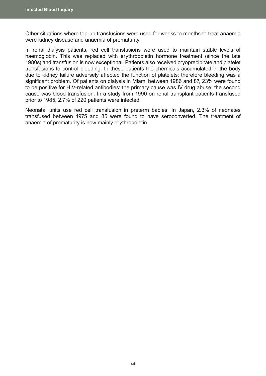Other situations where top-up transfusions were used for weeks to months to treat anaemia were kidney disease and anaemia of prematurity.

In renal dialysis patients, red cell transfusions were used to maintain stable levels of haemoglobin. This was replaced with erythropoietin hormone treatment (since the late 1980s) and transfusion is now exceptional. Patients also received cryoprecipitate and platelet transfusions to control bleeding. In these patients the chemicals accumulated in the body due to kidney failure adversely affected the function of platelets; therefore bleeding was a significant problem. Of patients on dialysis in Miami between 1986 and 87, 23% were found to be positive for HIV-related antibodies: the primary cause was IV drug abuse, the second cause was blood transfusion. In a study from 1990 on renal transplant patients transfused prior to 1985, 2.7% of 220 patients were infected.

Neonatal units use red cell transfusion in preterm babies. In Japan, 2.3% of neonates transfused between 1975 and 85 were found to have seroconverted. The treatment of anaemia of prematurity is now mainly erythropoietin.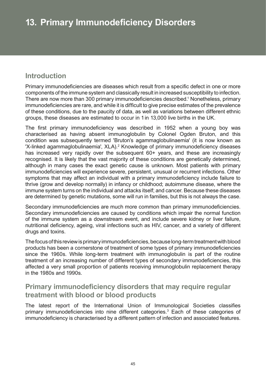# **Introduction**

Primary immunodeficiencies are diseases which result from a specific defect in one or more components of the immune system and classically result in increased susceptibility to infection. There are now more than 300 primary immunodeficiencies described.<sup>1</sup> Nonetheless, primary immunodeficiencies are rare, and while it is difficult to give precise estimates of the prevalence of these conditions, due to the paucity of data, as well as variations between different ethnic groups, these diseases are estimated to occur in 1in 13,000 live births in the UK.

The first primary immunodeficiency was described in 1952 when a young boy was characterised as having absent immunoglobulin by Colonel Ogden Bruton, and this condition was subsequently termed 'Bruton's agammaglobulinaemia' (it is now known as 'X-linked agammaglobulinaemia', XLA).<sup>2</sup> Knowledge of primary immunodeficiency diseases has increased very rapidly over the subsequent 60+ years, and these are increasingly recognised. It is likely that the vast majority of these conditions are genetically determined, although in many cases the exact genetic cause is unknown. Most patients with primary immunodeficiencies will experience severe, persistent, unusual or recurrent infections. Other symptoms that may affect an individual with a primary immunodeficiency include failure to thrive (grow and develop normally) in infancy or childhood; autoimmune disease, where the immune system turns on the individual and attacks itself; and cancer. Because these diseases are determined by genetic mutations, some will run in families, but this is not always the case.

Secondary immunodeficiencies are much more common than primary immunodeficiencies. Secondary immunodeficiencies are caused by conditions which impair the normal function of the immune system as a downstream event, and include severe kidney or liver failure, nutritional deficiency, ageing, viral infections such as HIV, cancer, and a variety of different drugs and toxins.

The focus of this review is primary immunodeficiencies, because long-term treatment with blood products has been a cornerstone of treatment of some types of primary immunodeficiencies since the 1960s. While long-term treatment with immunoglobulin is part of the routine treatment of an increasing number of different types of secondary immunodeficiencies, this affected a very small proportion of patients receiving immunoglobulin replacement therapy in the 1980s and 1990s.

# **Primary immunodeficiency disorders that may require regular treatment with blood or blood products**

The latest report of the International Union of Immunological Societies classifies primary immunodeficiencies into nine different categories.<sup>3</sup> Each of these categories of immunodeficiency is characterised by a different pattern of infection and associated features.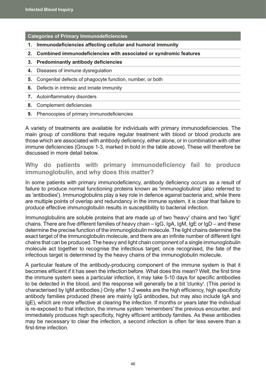**Categories of Primary Immunodeficiencies**

- **1. Immunodeficiencies affecting cellular and humoral immunity**
- **2. Combined immunodeficiencies with associated or syndromic features**
- **3. Predominantly antibody deficiencies**
- **4.** Diseases of immune dysregulation
- **5.** Congenital defects of phagocyte function, number, or both
- **6.** Defects in intrinsic and innate immunity
- **7.** Autoinflammatory disorders
- **8.** Complement deficiencies
- **9.** Phenocopies of primary immunodeficiencies

A variety of treatments are available for individuals with primary immunodeficiencies. The main group of conditions that require regular treatment with blood or blood products are those which are associated with antibody deficiency, either alone, or in combination with other immune deficiencies (Groups 1-3, marked in bold in the table above). These will therefore be discussed in more detail below.

**Why do patients with primary immunodeficiency fail to produce immunoglobulin, and why does this matter?**

In some patients with primary immunodeficiency, antibody deficiency occurs as a result of failure to produce normal functioning proteins known as 'immunoglobulins' (also referred to as 'antibodies'). Immunoglobulins play a key role in defence against bacteria and, while there are multiple points of overlap and redundancy in the immune system, it is clear that failure to produce effective immunoglobulin results in susceptibility to bacterial infection.

Immunoglobulins are soluble proteins that are made up of two 'heavy' chains and two 'light' chains. There are five different families of heavy chain – IgG, IgA, IgM, IgE or IgD – and these determine the precise function of the immunoglobulin molecule. The light chains determine the exact target of the immunoglobulin molecule, and there are an infinite number of different light chains that can be produced. The heavy and light chain component of a single immunoglobulin molecule act together to recognise the infectious target; once recognised, the fate of the infectious target is determined by the heavy chains of the immunoglobulin molecule.

A particular feature of the antibody-producing component of the immune system is that it becomes efficient if it has seen the infection before. What does this mean? Well, the first time the immune system sees a particular infection, it may take 5-10 days for specific antibodies to be detected in the blood, and the response will generally be a bit 'clunky'. (This period is characterised by IgM antibodies.) Only after 1-2 weeks are the high efficiency, high specificity antibody families produced (these are mainly IgG antibodies, but may also include IgA and IgE), which are more effective at clearing the infection. If months or years later the individual is re-exposed to that infection, the immune system 'remembers' the previous encounter, and immediately produces high specificity, highly efficient antibody families. As these antibodies may be necessary to clear the infection, a second infection is often far less severe than a first-time infection.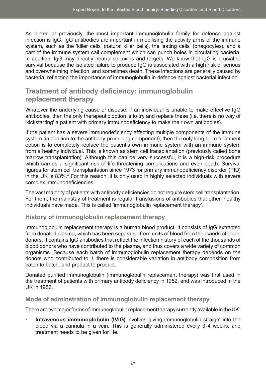As hinted at previously, the most important immunoglobulin family for defence against infection is IgG. IgG antibodies are important in mobilising the activity arms of the immune system, such as the 'killer cells' (natural killer cells), the 'eating cells' (phagocytes), and a part of the immune system call complement which can punch holes in circulating bacteria. In addition, IgG may directly neutralise toxins and targets. We know that IgG is crucial to survival because the isolated failure to produce IgG is associated with a high risk of serious and overwhelming infection, and sometimes death. These infections are generally caused by bacteria, reflecting the importance of immunoglobulin in defence against bacterial infection.

# **Treatment of antibody deficiency: immunoglobulin replacement therapy**

Whatever the underlying cause of disease, if an individual is unable to make effective IgG antibodies, then the only therapeutic option is to try and replace these (i.e. there is no way of 'kickstarting' a patient with primary immunodeficiency to make their own antibodies).

If the patient has a severe immunodeficiency affecting multiple components of the immune system (in addition to the antibody-producing component), then the only long-term treatment option is to completely replace the patient's own immune system with an immune system from a healthy individual. This is known as stem cell transplantation (previously called bone marrow transplantation). Although this can be very successful, it is a high-risk procedure which carries a significant risk of life-threatening complications and even death. Survival figures for stem cell transplantation since 1973 for primary immunodeficiency disorder (PID) in the UK is 83%.<sup>4</sup> For this reason, it is only used in highly selected individuals with severe complex immunodeficiencies.

The vast majority of patients with antibody deficiencies do not require stem cell transplantation. For them, the mainstay of treatment is regular transfusions of antibodies that other, healthy individuals have made. This is called 'immunoglobulin replacement therapy'.

## **History of immunoglobulin replacement therapy**

Immunoglobulin replacement therapy is a human blood product. It consists of IgG extracted from donated plasma, which has been separated from units of blood from thousands of blood donors. It contains IgG antibodies that reflect the infection history of each of the thousands of blood donors who have contributed to the plasma, and thus covers a wide variety of common organisms. Because each batch of immunoglobulin replacement therapy depends on the donors who contributed to it, there is considerable variation in antibody composition from batch to batch, and product to product.

Donated purified immunoglobulin (immunoglobulin replacement therapy) was first used in the treatment of patients with primary antibody deficiency in 1952, and was introduced in the UK in 1956.

## **Mode of adminstration of immunoglobulin replacement therapy**

There are two major forms of immunoglobulin replacement therapy currently available in the UK:

**Intravenous immunoglobulin (IVIG)** involves giving immunoglobulin straight into the blood via a cannula in a vein. This is generally administered every 3-4 weeks, and treatment needs to be given for life.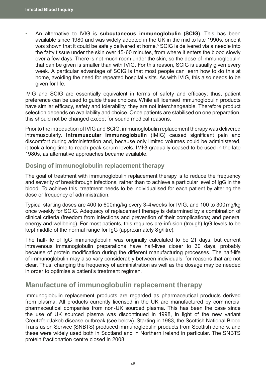• An alternative to IVIG is **subcutaneous immunoglobulin (SCIG)**. This has been available since 1980 and was widely adopted in the UK in the mid to late 1990s, once it was shown that it could be safely delivered at home.<sup>5</sup> SCIG is delivered via a needle into the fatty tissue under the skin over 45-60 minutes, from where it enters the blood slowly over a few days. There is not much room under the skin, so the dose of immunoglobulin that can be given is smaller than with IVIG. For this reason, SCIG is usually given every week. A particular advantage of SCIG is that most people can learn how to do this at home, avoiding the need for repeated hospital visits. As with IVIG, this also needs to be given for life.

IVIG and SCIG are essentially equivalent in terms of safety and efficacy; thus, patient preference can be used to guide these choices. While all licensed immunoglobulin products have similar efficacy, safety and tolerability, they are not interchangeable. Therefore product selection depends on availability and choice. Once patients are stabilised on one preparation, this should not be changed except for sound medical reasons.

Prior to the introduction of IVIG and SCIG, immunoglobulin replacement therapy was delivered intramuscularly. **Intramuscular immunoglobulin** (IMIG) caused significant pain and discomfort during administration and, because only limited volumes could be administered, it took a long time to reach peak serum levels. IMIG gradually ceased to be used in the late 1980s, as alternative approaches became available.

### **Dosing of immunoglobulin replacement therapy**

The goal of treatment with immunoglobulin replacement therapy is to reduce the frequency and severity of breakthrough infections, rather than to achieve a particular level of IgG in the blood. To achieve this, treatment needs to be individualised for each patient by altering the dose or frequency of administration.

Typical starting doses are 400 to 600mg/kg every 3-4weeks for IVIG, and 100 to 300mg/kg once weekly for SCIG. Adequacy of replacement therapy is determined by a combination of clinical criteria (freedom from infections and prevention of their complications; and general energy and wellbeing). For most patients, this requires pre-infusion (trough) IgG levels to be kept middle of the normal range for IgG (approximately 8g/litre).

The half-life of IgG immunoglobulin was originally calculated to be 21 days, but current intravenous immunoglobulin preparations have half-lives closer to 30 days, probably because of protein modification during the different manufacturing processes. The half-life of immunoglobulin may also vary considerably between individuals, for reasons that are not clear. Thus, changing the frequency of administration as well as the dosage may be needed in order to optimise a patient's treatment regimen.

## **Manufacture of immunoglobulin replacement therapy**

Immunoglobulin replacement products are regarded as pharmaceutical products derived from plasma. All products currently licensed in the UK are manufactured by commercial pharmaceutical companies from non-UK sourced plasma. This has been the case since the use of UK sourced plasma was discontinued in 1998, in light of the new variant CreutzfeldJakob disease outbreak (see below). Starting in 1983, the Scottish National Blood Transfusion Service (SNBTS) produced immunoglobulin products from Scottish donors, and these were widely used both in Scotland and in Northern Ireland in particular. The SNBTS protein fractionation centre closed in 2008.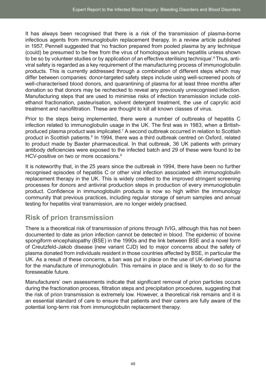It has always been recognised that there is a risk of the transmission of plasma-borne infectious agents from immunoglobulin replacement therapy. In a review article published in 1957, Pennell suggested that 'no fraction prepared from pooled plasma by any technique (could) be presumed to be free from the virus of homologous serum hepatitis unless shown to be so by volunteer studies or by application of an effective sterilising technique'.<sup>6</sup> Thus, antiviral safety is regarded as a key requirement of the manufacturing process of immunoglobulin products. This is currently addressed through a combination of different steps which may differ between companies: donor-targeted safety steps include using well-screened pools of well-characterised blood donors, and quarantining of plasma for at least three months after donation so that donors may be rechecked to reveal any previously unrecognised infection. Manufacturing steps that are used to minimise risks of infection transmission include coldethanol fractionation, pasteurisation, solvent detergent treatment, the use of caprylic acid treatment and nanofiltration. These are thought to kill all known classes of virus.

Prior to the steps being implemented, there were a number of outbreaks of hepatitis C infection related to immunoglobulin usage in the UK. The first was in 1983, when a Britishproduced plasma product was implicated.<sup>7</sup> A second outbreak occurred in relation to Scottish product in Scottish patients.<sup>8</sup> In 1994, there was a third outbreak centred on Oxford, related to product made by Baxter pharmaceutical. In that outbreak, 36 UK patients with primary antibody deficiencies were exposed to the infected batch and 29 of these were found to be HCV-positive on two or more occasions.<sup>9</sup>

It is noteworthy that, in the 25 years since the outbreak in 1994, there have been no further recognised episodes of hepatitis C or other viral infection associated with immunoglobulin replacement therapy in the UK. This is widely credited to the improved stringent screening processes for donors and antiviral production steps in production of every immunoglobulin product. Confidence in immunoglobulin products is now so high within the immunology community that previous practices, including regular storage of serum samples and annual testing for hepatitis viral transmission, are no longer widely practised.

# **Risk of prion transmission**

There is a theoretical risk of transmission of prions through IVIG, although this has not been documented to date as prion infection cannot be detected in blood. The epidemic of bovine spongiform encephalopathy (BSE) in the 1990s and the link between BSE and a novel form of Creutzfeld-Jakob disease (new variant CJD) led to major concerns about the safety of plasma donated from individuals resident in those countries affected by BSE, in particular the UK. As a result of these concerns, a ban was put in place on the use of UK-derived plasma for the manufacture of immunoglobulin. This remains in place and is likely to do so for the foreseeable future.

Manufacturers' own assessments indicate that significant removal of prion particles occurs during the fractionation process, filtration steps and precipitation procedures, suggesting that the risk of prion transmission is extremely low. However, a theoretical risk remains and it is an essential standard of care to ensure that patients and their carers are fully aware of the potential long-term risk from immunoglobulin replacement therapy.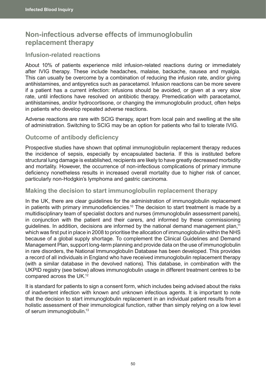# **Non-infectious adverse effects of immunoglobulin replacement therapy**

### **Infusion-related reactions**

About 10% of patients experience mild infusion-related reactions during or immediately after IVIG therapy. These include headaches, malaise, backache, nausea and myalgia. This can usually be overcome by a combination of reducing the infusion rate, and/or giving antihistamines, and antipyretics such as paracetamol. Infusion reactions can be more severe if a patient has a current infection: infusions should be avoided, or given at a very slow rate, until infections have resolved on antibiotic therapy. Premedication with paracetamol, antihistamines, and/or hydrocortisone, or changing the immunoglobulin product, often helps in patients who develop repeated adverse reactions.

Adverse reactions are rare with SCIG therapy, apart from local pain and swelling at the site of administration. Switching to SCIG may be an option for patients who fail to tolerate IVIG.

### **Outcome of antibody deficiency**

Prospective studies have shown that optimal immunoglobulin replacement therapy reduces the incidence of sepsis, especially by encapsulated bacteria. If this is instituted before structural lung damage is established, recipients are likely to have greatly decreased morbidity and mortality. However, the occurrence of non-infectious complications of primary immune deficiency nonetheless results in increased overall mortality due to higher risk of cancer, particularly non-Hodgkin's lymphoma and gastric carcinoma.

#### **Making the decision to start immunoglobulin replacement therapy**

In the UK, there are clear guidelines for the administration of immunoglobulin replacement in patients with primary immunodeficiencies.<sup>10</sup> The decision to start treatment is made by a multidisciplinary team of specialist doctors and nurses (immunoglobulin assessment panels), in conjunction with the patient and their carers, and informed by these commissioning guidelines. In addition, decisions are informed by the national demand management plan,<sup>11</sup> which was first put in place in 2008 to prioritise the allocation of immunoglobulin within the NHS because of a global supply shortage. To complement the Clinical Guidelines and Demand Management Plan, support long-term planning and provide data on the use of immunoglobulin in rare disorders, the National Immunoglobulin Database has been developed. This provides a record of all individuals in England who have received immunoglobulin replacement therapy (with a similar database in the devolved nations). This database, in combination with the UKPID registry (see below) allows immunoglobulin usage in different treatment centres to be compared across the UK.12

It is standard for patients to sign a consent form, which includes being advised about the risks of inadvertent infection with known and unknown infectious agents. It is important to note that the decision to start immunoglobulin replacement in an individual patient results from a holistic assessment of their immunological function, rather than simply relying on a low level of serum immunoglobulin.13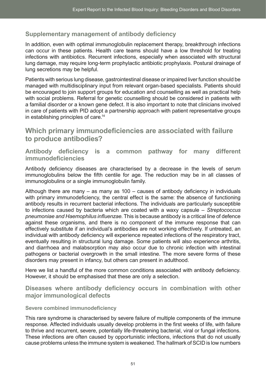## **Supplementary management of antibody deficiency**

In addition, even with optimal immunoglobulin replacement therapy, breakthrough infections can occur in these patients. Health care teams should have a low threshold for treating infections with antibiotics. Recurrent infections, especially when associated with structural lung damage, may require long-term prophylactic antibiotic prophylaxis. Postural drainage of lung secretions may be helpful.

Patients with serious lung disease, gastrointestinal disease or impaired liver function should be managed with multidisciplinary input from relevant organ-based specialists. Patients should be encouraged to join support groups for education and counselling as well as practical help with social problems. Referral for genetic counselling should be considered in patients with a familial disorder or a known gene defect. It is also important to note that clinicians involved in care of patients with PID adopt a partnership approach with patient representative groups in establishing principles of care.14

# **Which primary immunodeficiencies are associated with failure to produce antibodies?**

**Antibody deficiency is a common pathway for many different immunodeficiencies**

Antibody deficiency diseases are characterised by a decrease in the levels of serum immunoglobulins below the fifth centile for age. The reduction may be in all classes of immunoglobulins or a single immunoglobulin family.

Although there are many – as many as  $100 -$  causes of antibody deficiency in individuals with primary immunodeficiency, the central effect is the same: the absence of functioning antibody results in recurrent bacterial infections. The individuals are particularly susceptible to infections caused by bacteria which are coated with a waxy capsule – *Streptococcus pneumoniae and Haemophilus influenzae*. This is because antibody is a critical line of defence against these organisms, and there is no component of the immune response that can effectively substitute if an individual's antibodies are not working effectively. If untreated, an individual with antibody deficiency will experience repeated infections of the respiratory tract, eventually resulting in structural lung damage. Some patients will also experience arthritis, and diarrhoea and malabsorption may also occur due to chronic infection with intestinal pathogens or bacterial overgrowth in the small intestine. The more severe forms of these disorders may present in infancy, but others can present in adulthood.

Here we list a handful of the more common conditions associated with antibody deficiency. However, it should be emphasised that these are only a selection.

**Diseases where antibody deficiency occurs in combination with other major immunological defects** 

#### **Severe combined immunodeficiency**

This rare syndrome is characterised by severe failure of multiple components of the immune response. Affected individuals usually develop problems in the first weeks of life, with failure to thrive and recurrent, severe, potentially life-threatening bacterial, viral or fungal infections. These infections are often caused by opportunistic infections, infections that do not usually cause problems unless the immune system is weakened. The hallmark of SCID is low numbers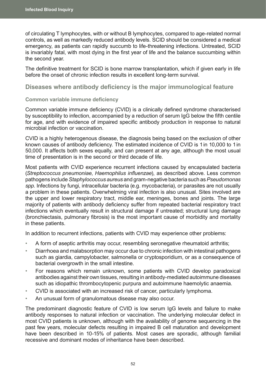of circulating T lymphocytes, with or without B lymphocytes, compared to age-related normal controls, as well as markedly reduced antibody levels. SCID should be considered a medical emergency, as patients can rapidly succumb to life-threatening infections. Untreated, SCID is invariably fatal, with most dying in the first year of life and the balance succumbing within the second year.

The definitive treatment for SCID is bone marrow transplantation, which if given early in life before the onset of chronic infection results in excellent long-term survival.

**Diseases where antibody deficiency is the major immunological feature**

#### **Common variable immune deficiency**

Common variable immune deficiency (CVID) is a clinically defined syndrome characterised by susceptibility to infection, accompanied by a reduction of serum IgG below the fifth centile for age, and with evidence of impaired specific antibody production in response to natural microbial infection or vaccination.

CVID is a highly heterogenous disease, the diagnosis being based on the exclusion of other known causes of antibody deficiency. The estimated incidence of CVID is 1in 10,000 to 1in 50,000. It affects both sexes equally, and can present at any age, although the most usual time of presentation is in the second or third decade of life.

Most patients with CVID experience recurrent infections caused by encapsulated bacteria (*Streptococcus pneumoniae*, *Haemophilus influenzae*), as described above. Less common pathogens include *Staphylococcus aureus* and gram-negative bacteria such as *Pseudomonas spp*. Infections by fungi, intracellular bacteria (e.g. mycobacteria), or parasites are not usually a problem in these patients. Overwhelming viral infection is also unusual. Sites involved are the upper and lower respiratory tract, middle ear, meninges, bones and joints. The large majority of patients with antibody deficiency suffer from repeated bacterial respiratory tract infections which eventually result in structural damage if untreated; structural lung damage (bronchiectasis, pulmonary fibrosis) is the most important cause of morbidity and mortality in these patients.

In addition to recurrent infections, patients with CVID may experience other problems:

- A form of aseptic arthritis may occur, resembling seronegative rheumatoid arthritis;
- Diarrhoea and malabsorption may occur due to chronic infection with intestinal pathogens such as giardia, campylobacter, salmonella or cryptosporidium, or as a consequence of bacterial overgrowth in the small intestine.
- For reasons which remain unknown, some patients with CVID develop paradoxical antibodies against their own tissues, resulting in antibody-mediated autoimmune diseases such as idiopathic thrombocytopenic purpura and autoimmune haemolytic anaemia.
- CVID is associated with an increased risk of cancer, particularly lymphoma.
- An unusual form of granulomatous disease may also occur.

The predominant diagnostic feature of CVID is low serum IgG levels and failure to make antibody responses to natural infection or vaccination. The underlying molecular defect in most CVID patients is unknown, although with the availability of genome sequencing in the past few years, molecular defects resulting in impaired B cell maturation and development have been described in 10-15% of patients. Most cases are sporadic, although familial recessive and dominant modes of inheritance have been described.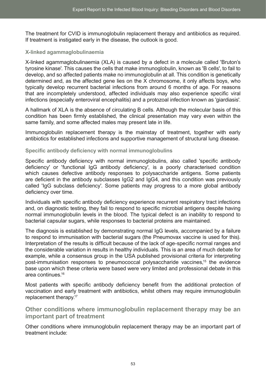The treatment for CVID is immunoglobulin replacement therapy and antibiotics as required. If treatment is instigated early in the disease, the outlook is good.

#### **X-linked agammaglobulinaemia**

X-linked agammaglobulinaemia (XLA) is caused by a defect in a molecule called 'Bruton's tyrosine kinase'. This causes the cells that make immunoglobulin, known as 'B cells', to fail to develop, and so affected patients make no immunoglobulin at all. This condition is genetically determined and, as the affected gene lies on the X chromosome, it only affects boys, who typically develop recurrent bacterial infections from around 6 months of age. For reasons that are incompletely understood, affected individuals may also experience specific viral infections (especially enteroviral encephalitis) and a protozoal infection known as 'giardiasis'.

A hallmark of XLA is the absence of circulating B cells. Although the molecular basis of this condition has been firmly established, the clinical presentation may vary even within the same family, and some affected males may present late in life.

Immunoglobulin replacement therapy is the mainstay of treatment, together with early antibiotics for established infections and supportive management of structural lung disease.

#### **Specific antibody deficiency with normal immunoglobulins**

Specific antibody deficiency with normal immunoglobulins, also called 'specific antibody deficiency' or 'functional IgG antibody deficiency', is a poorly characterised condition which causes defective antibody responses to polysaccharide antigens. Some patients are deficient in the antibody subclasses IgG2 and IgG4, and this condition was previously called 'IgG subclass deficiency'. Some patients may progress to a more global antibody deficiency over time.

Individuals with specific antibody deficiency experience recurrent respiratory tract infections and, on diagnostic testing, they fail to respond to specific microbial antigens despite having normal immunoglobulin levels in the blood. The typical defect is an inability to respond to bacterial capsular sugars, while responses to bacterial proteins are maintained.

The diagnosis is established by demonstrating normal IgG levels, accompanied by a failure to respond to immunisation with bacterial sugars (the Pneumovax vaccine is used for this). Interpretation of the results is difficult because of the lack of age-specific normal ranges and the considerable variation in results in healthy individuals. This is an area of much debate for example, while a consensus group in the USA published provisional criteria for interpreting post-immunisation responses to pneumococcal polysaccharide vaccines,15 the evidence base upon which these criteria were based were very limited and professional debate in this area continues.16

Most patients with specific antibody deficiency benefit from the additional protection of vaccination and early treatment with antibiotics, whilst others may require immunoglobulin replacement therapy.<sup>17</sup>

**Other conditions where immunoglobulin replacement therapy may be an important part of treatment** 

Other conditions where immunoglobulin replacement therapy may be an important part of treatment include: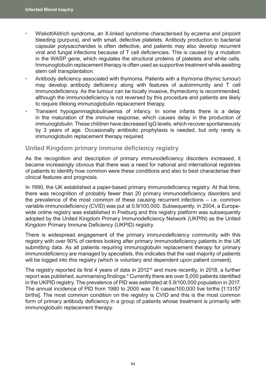- WiskottAldrich syndrome, an X-linked syndrome characterised by eczema and pinpoint bleeding (purpura), and with small, defective platelets. Antibody production to bacterial capsular polysaccharides is often defective, and patients may also develop recurrent viral and fungal infections because of T cell deficiencies. This is caused by a mutation in the WASP gene, which regulates the structural proteins of platelets and white cells. Immunoglobulin replacement therapy is often used as supportive treatment while awaiting stem cell transplantation.
- Antibody deficiency associated with thymoma. Patients with a thymoma (thymic tumour) may develop antibody deficiency along with features of autoimmunity and T cell immunodeficiency. As the tumour can be locally invasive, thymectomy is recommended, although the immunodeficiency is not reversed by this procedure and patients are likely to require lifelong immunoglobulin replacement therapy.
- Transient hypogammaglobulinaemia of infancy. In some infants there is a delay in the maturation of the immune response, which causes delay in the production of immunoglobulin. These children have decreased IgG levels, which recover spontaneously by 3 years of age. Occasionally antibiotic prophylaxis is needed, but only rarely is immunoglobulin replacement therapy required.

#### **United Kingdom primary immune deficiency registry**

As the recognition and description of primary immunodeficiency disorders increased, it became increasingly obvious that there was a need for national and international registries of patients to identify how common were these conditions and also to best characterise their clinical features and prognosis.

In 1990, the UK established a paper-based primary immunodeficiency registry. At that time, there was recognition of probably fewer than 20 primary immunodeficiency disorders and the prevalence of the most common of these causing recurrent infections – i.e. common variable immunodeficiency (CVID) was put at 0.9/100,000. Subsequently, in 2004, a Europewide online registry was established in Freiburg and this registry platform was subsequently adopted by the United Kingdom Primary Immunodeficiency Network (UKPIN) as the United Kingdom Primary Immune Deficiency (UKPID) registry.

There is widespread engagement of the primary immunodeficiency community with this registry with over 90% of centres looking after primary immunodeficiency patients in the UK submitting data. As all patients requiring immunoglobulin replacement therapy for primary immunodeficiency are managed by specialists, this indicates that the vast majority of patients will be logged into this registry (which is voluntary and dependent upon patient consent).

The registry reported its first 4 years of data in 2012<sup>18</sup> and more recently, in 2018, a further report was published, summarising findings.<sup>4</sup> Currently there are over 5,000 patients identified in the UKPID registry. The prevalence of PID was estimated at 5.9/100,000 population in 2017. The annual incidence of PID from 1980 to 2000 was 7.6 cases/100,000 live births [1:13157 births]. The most common condition on the registry is CVID and this is the most common form of primary antibody deficiency in a group of patients whose treatment is primarily with immunoglobulin replacement therapy.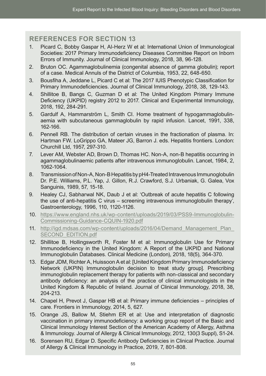## **REFERENCES FOR SECTION 13**

- 1. Picard C, Bobby Gaspar H, Al-Herz W et al: International Union of Immunological Societies: 2017 Primary Immunodeficiency Diseases Committee Report on Inborn Errors of Immunity. Journal of Clinical Immunology, 2018, 38, 96-128.
- 2. Bruton OC. Agammaglobulinemia (congenital absence of gamma globulin); report of a case. Medical Annuls of the District of Columbia, 1953, 22, 648-650.
- 3. Bousfiha A, Jeddane L, Picard C et al: The 2017 IUIS Phenotypic Classification for Primary Immunodeficiencies. Journal of Clinical Immunology, 2018, 38, 129-143.
- 4. Shillitoe B, Bangs C, Guzman D et al: The United Kingdom Primary Immune Deficiency (UKPID) registry 2012 to 2017. Clinical and Experimental Immunology, 2018, 192, 284-291.
- 5. Gardulf A, Hammarström L, Smith CI. Home treatment of hypogammaglobulinaemia with subcutaneous gammaglobulin by rapid infusion. Lancet, 1991, 338, 162-166.
- 6. Pennell RB. The distribution of certain viruses in the fractionation of plasma. In: Hartman FW. LoGrippo GA, Mateer JG, Barron J. eds. Hepatitis frontiers. London: Churchill Ltd, 1957, 297-310.
- 7. Lever AM, Webster AD, Brown D, Thomas HC. Non-A, non-B hepatitis occurring in agammaglobulinaemic patients after intravenous immunoglobulin. Lancet, 1984, 2, 1062-1064.
- 8. Transmission of Non-A, Non-B Hepatitis by pH4-Treated Intravenous Immunoglobulin Dr. P.E. Williams, P.L. Yap, J. Gillon, R.J. Crawford, S.J. Urbaniak, G. Galea, Vox Sanguinis, 1989, 57, 15-18.
- 9. Healey CJ, Sabharwal NK, Daub J et al: 'Outbreak of acute hepatitis C following the use of anti-hepatitis C virus – screening intravenous immunoglobulin therapy', Gastroenterology, 1996, 110, 1120-1126.
- 10. [https://www.england.nhs.uk/wp-content/uploads/2019/03/PSS9-Immunoglobulin-](https://www.england.nhs.uk/wp-content/uploads/2019/03/PSS9-Immunoglobulin-Commissioning-Guidance-CQUIN-1920.pdf)[Commissioning-Guidance-CQUIN-1920.pdf](https://www.england.nhs.uk/wp-content/uploads/2019/03/PSS9-Immunoglobulin-Commissioning-Guidance-CQUIN-1920.pdf)
- 11. [http://igd.mdsas.com/wp-content/uploads/2016/04/Demand\\_Management\\_Plan\\_](http://igd.mdsas.com/wp-content/uploads/2016/04/Demand_Management_Plan_SECOND_EDITION.pdf) [SECOND\\_EDITION.pdf](http://igd.mdsas.com/wp-content/uploads/2016/04/Demand_Management_Plan_SECOND_EDITION.pdf)
- 12. Shillitoe B, Hollingsworth R, Foster M et al: Immunoglobulin Use for Primary Immunodeficiency in the United Kingdom: A Report of the UKPID and National Immunoglobulin Databases. Clinical Medicine (London), 2018, 18(5), 364-370.
- 13. Edgar JDM, Richter A, Huissoon A et al: [United Kingdom Primary Immunodeficiency Network (UKPIN) Immunoglobulin decision to treat study group]. Prescribing immunoglobulin replacement therapy for patients with non-classical and secondary antibody deficiency: an analysis of the practice of clinical immunologists in the United Kingdom & Republic of Ireland. Journal of Clinical Immunology, 2018, 38, 204-213.
- 14. Chapel H, Prevot J, Gaspar HB et al: Primary immune deficiencies principles of care. Frontiers in Immunology, 2014, 5, 627.
- 15. Orange JS, Ballow M, Stiehm ER et al: Use and interpretation of diagnostic vaccination in primary immunodeficiency: a working group report of the Basic and Clinical Immunology Interest Section of the American Academy of Allergy, Asthma & Immunology. Journal of Allergy & Clinical Immunology, 2012, 130(3 Suppl), S1-24.
- 16. Sorensen RU, Edgar D. Specific Antibody Deficiencies in Clinical Practice. Journal of Allergy & Clinical Immunology in Practice, 2019, 7, 801-808.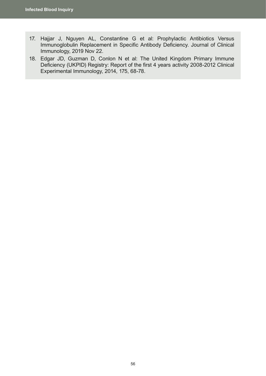- 17. Hajjar J, Nguyen AL, Constantine G et al: Prophylactic Antibiotics Versus Immunoglobulin Replacement in Specific Antibody Deficiency. Journal of Clinical Immunology, 2019 Nov 22.
- 18. Edgar JD, Guzman D, Conlon N et al: The United Kingdom Primary Immune Deficiency (UKPID) Registry: Report of the first 4 years activity 2008-2012 Clinical Experimental Immunology, 2014, 175, 68-78.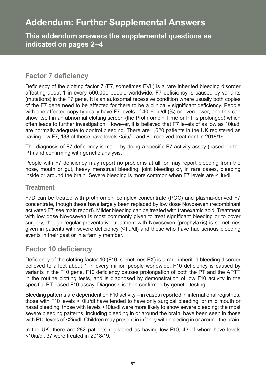# **Addendum: Further Supplemental Answers**

**This addendum answers the supplemental questions as indicated on pages 2–4.**

# **Factor 7 deficiency**

Deficiency of the clotting factor 7 (F7, sometimes FVII) is a rare inherited bleeding disorder affecting about 1 in every 500,000 people worldwide. F7 deficiency is caused by variants (mutations) in the F7 gene. It is an autosomal recessive condition where usually both copies of the F7 gene need to be affected for there to be a clinically significant deficiency. People with one affected copy typically have F7 levels of 40-60iu/dl (%) or even lower, and this can show itself in an abnormal clotting screen (the Prothrombin Time or PT is prolonged) which often leads to further investigation. However, it is believed that F7 levels of as low as 10iu/dl are normally adequate to control bleeding. There are 1,620 patients in the UK registered as having low F7: 138 of these have levels <5iu/dl and 80 received treatment in 2018/19.

The diagnosis of F7 deficiency is made by doing a specific F7 activity assay (based on the PT) and confirming with genetic analysis.

People with F7 deficiency may report no problems at all, or may report bleeding from the nose, mouth or gut, heavy menstrual bleeding, joint bleeding or, in rare cases, bleeding inside or around the brain. Severe bleeding is more common when F7 levels are <1iu/dl.

### **Treatment**

F7D can be treated with prothrombin complex concentrate (PCC) and plasma-derived F7 concentrate, though these have largely been replaced by low dose Novoseven (recombinant activated F7, see main report). Milder bleeding can be treated with tranexamic acid. Treatment with low dose Novoseven is most commonly given to treat significant bleeding or to cover surgery, though regular preventative treatment with Novoseven (prophylaxis) is sometimes given in patients with severe deficiency (<1iu/dl) and those who have had serious bleeding events in their past or in a family member.

# **Factor 10 deficiency**

Deficiency of the clotting factor 10 (F10, sometimes FX) is a rare inherited bleeding disorder believed to affect about 1 in every million people worldwide. F10 deficiency is caused by variants in the F10 gene. F10 deficiency causes prolongation of both the PT and the APTT in the routine clotting tests, and is diagnosed by demonstration of low F10 activity in the specific, PT-based F10 assay. Diagnosis is then confirmed by genetic testing.

Bleeding patterns are dependent on F10 activity – in cases reported in international registries, those with F10 levels >10iu/dl have tended to have only surgical bleeding, or mild mouth or nasal bleeding; those with levels <10iu/dl were more likely to show severe bleeding; the most severe bleeding patterns, including bleeding in or around the brain, have been seen in those with F10 levels of <2iu/dl. Children may present in infancy with bleeding in or around the brain.

In the UK, there are 282 patients registered as having low F10, 43 of whom have levels <10iu/dl. 37 were treated in 2018/19.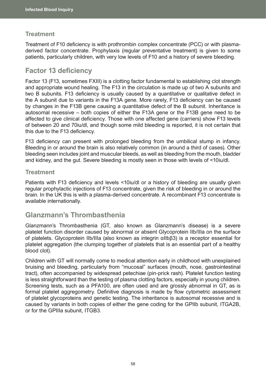## **Treatment**

Treatment of F10 deficiency is with prothrombin complex concentrate (PCC) or with plasmaderived factor concentrate. Prophylaxis (regular preventative treatment) is given to some patients, particularly children, with very low levels of F10 and a history of severe bleeding.

## **Factor 13 deficiency**

Factor 13 (F13, sometimes FXIII) is a clotting factor fundamental to establishing clot strength and appropriate wound healing. The F13 in the circulation is made up of two A subunits and two B subunits. F13 deficiency is usually caused by a quantitative or qualitative defect in the A subunit due to variants in the F13A gene. More rarely, F13 deficiency can be caused by changes in the F13B gene causing a quantitative defect of the B subunit. Inheritance is autosomal recessive – both copies of either the F13A gene or the F13B gene need to be affected to give clinical deficiency. Those with one affected gene (carriers) show F13 levels of between 20 and 70iu/dl, and though some mild bleeding is reported, it is not certain that this due to the F13 deficiency.

F13 deficiency can present with prolonged bleeding from the umbilical stump in infancy. Bleeding in or around the brain is also relatively common (in around a third of cases). Other bleeding seen includes joint and muscular bleeds, as well as bleeding from the mouth, bladder and kidney, and the gut. Severe bleeding is mostly seen in those with levels of <10iu/dl.

## **Treatment**

Patients with F13 deficiency and levels <10iu/dl or a history of bleeding are usually given regular prophylactic injections of F13 concentrate, given the risk of bleeding in or around the brain. In the UK this is with a plasma-derived concentrate. A recombinant F13 concentrate is available internationally.

# **Glanzmann's Thrombasthenia**

Glanzmann's Thrombasthenia (GT, also known as Glanzmann's disease) is a severe platelet function disorder caused by abnormal or absent Glycoprotein IIb/IIIa on the surface of platelets. Glycoprotein IIb/IIIa (also known as integrin αIIbβ3) is a receptor essential for platelet aggregation (the clumping together of platelets that is an essential part of a healthy blood clot).

Children with GT will normally come to medical attention early in childhood with unexplained bruising and bleeding, particularly from "mucosal" surfaces (mouth, nose, gastrointestinal tract), often accompanied by widespread petechiae (pin-prick rash). Platelet function testing is less straightforward than the testing of plasma clotting factors, especially in young children. Screening tests, such as a PFA100, are often used and are grossly abnormal in GT, as is formal platelet aggregometry. Definitive diagnosis is made by flow cytometric assessment of platelet glycoproteins and genetic testing. The inheritance is autosomal recessive and is caused by variants in both copies of either the gene coding for the GPIIb subunit, ITGA2B, or for the GPIIIa subunit, ITGB3.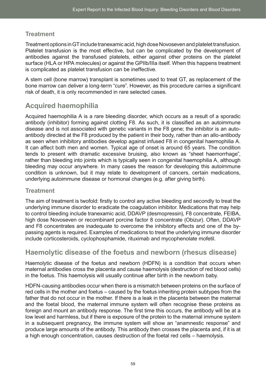## **Treatment**

Treatment options in GT include tranexamic acid, high dose Novoseven and platelet transfusion. Platelet transfusion is the most effective, but can be complicated by the development of antibodies against the transfused platelets, either against other proteins on the platelet surface (HLA or HPA molecules) or against the GPIIb/IIIa itself. When this happens treatment is complicated as platelet transfusion can be ineffective.

A stem cell (bone marrow) transplant is sometimes used to treat GT, as replacement of the bone marrow can deliver a long-term "cure". However, as this procedure carries a significant risk of death, it is only recommended in rare selected cases.

# **Acquired haemophilia**

Acquired haemophilia A is a rare bleeding disorder, which occurs as a result of a sporadic antibody (inhibitor) forming against clotting F8. As such, it is classified as an autoimmune disease and is not associated with genetic variants in the F8 gene; the inhibitor is an autoantibody directed at the F8 produced by the patient in their body, rather than an allo-antibody as seen when inhibitory antibodies develop against infused F8 in congenital haemophilia A. It can affect both men and women. Typical age of onset is around 65 years. The condition tends to present with dramatic excessive bruising, also known as "sheet haemorrhage", rather than bleeding into joints which is typically seen in congenital haemophilia A, although bleeding may occur anywhere. In many cases the reason for developing this autoimmune condition is unknown, but it may relate to development of cancers, certain medications, underlying autoimmune disease or hormonal changes (e.g. after giving birth).

## **Treatment**

The aim of treatment is twofold: firstly to control any active bleeding and secondly to treat the underlying immune disorder to eradicate the coagulation inhibitor. Medications that may help to control bleeding include tranexamic acid, DDAVP (desmopressin), F8 concentrate, FEIBA, high dose Novoseven or recombinant porcine factor 8 concentrate (Obizur). Often, DDAVP and F8 concentrates are inadequate to overcome the inhibitory effects and one of the bypassing agents is required. Examples of medications to treat the underlying immune disorder include corticosteroids, cyclophosphamide, rituximab and mycophenolate mofetil.

# **Haemolytic disease of the foetus and newborn (rhesus disease)**

Haemolytic disease of the foetus and newborn (HDFN) is a condition that occurs when maternal antibodies cross the placenta and cause haemolysis (destruction of red blood cells) in the foetus. This haemolysis will usually continue after birth in the newborn baby.

HDFN-causing antibodies occur when there is a mismatch between proteins on the surface of red cells in the mother and foetus – caused by the foetus inheriting protein subtypes from the father that do not occur in the mother. If there is a leak in the placenta between the maternal and the foetal blood, the maternal immune system will often recognise these proteins as foreign and mount an antibody response. The first time this occurs, the antibody will be at a low level and harmless, but if there is exposure of the protein to the maternal immune system in a subsequent pregnancy, the immune system will show an "anamnestic response" and produce large amounts of the antibody. This antibody then crosses the placenta and, if it is at a high enough concentration, causes destruction of the foetal red cells – haemolysis.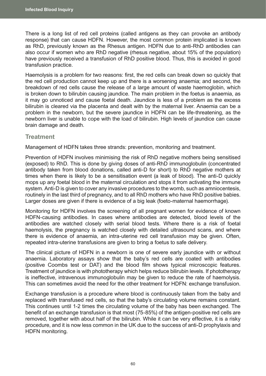There is a long list of red cell proteins (called antigens as they can provoke an antibody response) that can cause HDFN. However, the most common protein implicated is known as RhD, previously known as the Rhesus antigen. HDFN due to anti-RhD antibodies can also occur if women who are RhD negative (rhesus negative, about 15% of the population) have previously received a transfusion of RhD positive blood. Thus, this is avoided in good transfusion practice.

Haemolysis is a problem for two reasons: first, the red cells can break down so quickly that the red cell production cannot keep up and there is a worsening anaemia; and second, the breakdown of red cells cause the release of a large amount of waste haemoglobin, which is broken down to bilirubin causing jaundice. The main problem in the foetus is anaemia, as it may go unnoticed and cause foetal death. Jaundice is less of a problem as the excess bilirubin is cleared via the placenta and dealt with by the maternal liver. Anaemia can be a problem in the newborn, but the severe jaundice in HDFN can be life-threatening, as the newborn liver is unable to cope with the load of bilirubin. High levels of jaundice can cause brain damage and death.

### **Treatment**

Management of HDFN takes three strands: prevention, monitoring and treatment.

Prevention of HDFN involves minimising the risk of RhD negative mothers being sensitised (exposed) to RhD. This is done by giving doses of anti-RhD immunoglobulin (concentrated antibody taken from blood donations, called anti-D for short) to RhD negative mothers at times when there is likely to be a sensitisation event (a leak of blood). The anti-D quickly mops up any foetal blood in the maternal circulation and stops it from activating the immune system. Anti-D is given to cover any invasive procedures to the womb, such as amniocentesis, routinely in the last third of pregnancy, and to all RhD mothers who have RhD positive babies. Larger doses are given if there is evidence of a big leak (foeto-maternal haemorrhage).

Monitoring for HDFN involves the screening of all pregnant women for evidence of known HDFN-causing antibodies. In cases where antibodies are detected, blood levels of the antibodies are watched closely with serial blood tests. Where there is a risk of foetal haemolysis, the pregnancy is watched closely with detailed ultrasound scans, and where there is evidence of anaemia, an intra-uterine red cell transfusion may be given. Often, repeated intra-uterine transfusions are given to bring a foetus to safe delivery.

The clinical picture of HDFN in a newborn is one of severe early jaundice with or without anaemia. Laboratory assays show that the baby's red cells are coated with antibodies (positive Coombs test or DAT) and the blood film shows typical microscopic features. Treatment of jaundice is with phototherapy which helps reduce bilirubin levels. If phototherapy is ineffective, intravenous immunoglobulin may be given to reduce the rate of haemolysis. This can sometimes avoid the need for the other treatment for HDFN: exchange transfusion.

Exchange transfusion is a procedure where blood is continuously taken from the baby and replaced with transfused red cells, so that the baby's circulating volume remains constant. This continues until 1-2 times the circulating volume of the baby has been exchanged. The benefit of an exchange transfusion is that most (75-85%) of the antigen-positive red cells are removed, together with about half of the bilirubin. While it can be very effective, it is a risky procedure, and it is now less common in the UK due to the success of anti-D prophylaxis and HDFN monitoring.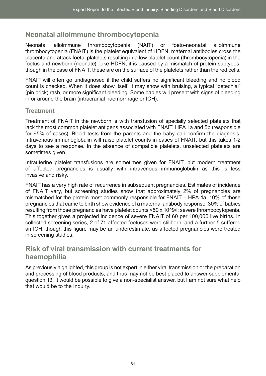# **Neonatal alloimmune thrombocytopenia**

Neonatal alloimmune thrombocytopenia (NAIT) or foeto-neonatal alloimmune thrombocytopenia (FNAIT) is the platelet equivalent of HDFN: maternal antibodies cross the placenta and attack foetal platelets resulting in a low platelet count (thrombocytopenia) in the foetus and newborn (neonate). Like HDFN, it is caused by a mismatch of protein subtypes, though in the case of FNAIT, these are on the surface of the platelets rather than the red cells.

FNAIT will often go undiagnosed if the child suffers no significant bleeding and no blood count is checked. When it does show itself, it may show with bruising, a typical "petechial" (pin prick) rash, or more significant bleeding. Some babies will present with signs of bleeding in or around the brain (intracranial haemorrhage or ICH).

## **Treatment**

Treatment of FNAIT in the newborn is with transfusion of specially selected platelets that lack the most common platelet antigens associated with FNAIT, HPA 1a and 5b (responsible for 95% of cases). Blood tests from the parents and the baby can confirm the diagnosis. Intravenous immunoglobulin will raise platelet counts in cases of FNAIT, but this takes 1-2 days to see a response. In the absence of compatible platelets, unselected platelets are sometimes given.

Intrauterine platelet transfusions are sometimes given for FNAIT, but modern treatment of affected pregnancies is usually with intravenous immunoglobulin as this is less invasive and risky.

FNAIT has a very high rate of recurrence in subsequent pregnancies. Estimates of incidence of FNAIT vary, but screening studies show that approximately 2% of pregnancies are mismatched for the protein most commonly responsible for FNAIT – HPA 1a. 10% of those pregnancies that came to birth show evidence of a maternal antibody response. 30% of babies resulting from those pregnancies have platelet counts <50 x 10^9/l: severe thrombocytopenia. This together gives a projected incidence of severe FNAIT of 60 per 100,000 live births. In collected screening series, 2 of 71 affected foetuses were stillborn, and a further 5 suffered an ICH, though this figure may be an underestimate, as affected pregnancies were treated in screening studies.

# **Risk of viral transmission with current treatments for haemophilia**

As previously highlighted, this group is not expert in either viral transmission or the preparation and processing of blood products, and thus may not be best placed to answer supplemental question 13. It would be possible to give a non-specialist answer, but I am not sure what help that would be to the Inquiry.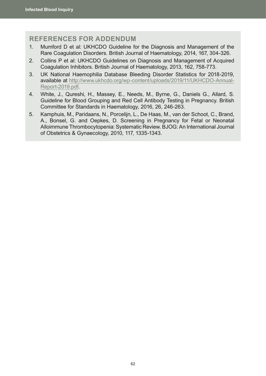## **REFERENCES FOR ADDENDUM**

- 1. Mumford D et al: UKHCDO Guideline for the Diagnosis and Management of the Rare Coagulation Disorders. British Journal of Haematology, 2014, 167, 304-326.
- 2. Collins P et al: UKHCDO Guidelines on Diagnosis and Management of Acquired Coagulation Inhibitors. British Journal of Haematology, 2013, 162, 758-773.
- 3. UK National Haemophilia Database Bleeding Disorder Statistics for 2018-2019, available at [http://www.ukhcdo.org/wp-content/uploads/2019/11/UKHCDO-Annual-](http://www.ukhcdo.org/wp-content/uploads/2019/11/UKHCDO-Annual-Report-2019.pdf)[Report-2019.pdf](http://www.ukhcdo.org/wp-content/uploads/2019/11/UKHCDO-Annual-Report-2019.pdf).
- 4. White, J., Qureshi, H., Massey, E., Needs, M., Byrne, G., Daniels G., Allard, S. Guideline for Blood Grouping and Red Cell Antibody Testing in Pregnancy. British Committee for Standards in Haematology, 2016, 26, 246-263.
- 5. Kamphuis, M., Paridaans, N., Porcelijn, L., De Haas, M., van der Schoot, C., Brand, A., Bonsel, G. and Oepkes, D. Screening in Pregnancy for Fetal or Neonatal Alloimmune Thrombocytopenia: Systematic Review. BJOG: An International Journal of Obstetrics & Gynaecology, 2010, 117, 1335-1343.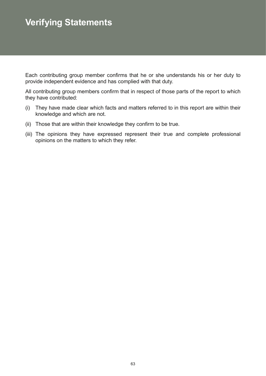# **Verifying Statements**

Each contributing group member confirms that he or she understands his or her duty to provide independent evidence and has complied with that duty.

All contributing group members confirm that in respect of those parts of the report to which they have contributed:

- (i) They have made clear which facts and matters referred to in this report are within their knowledge and which are not.
- (ii) Those that are within their knowledge they confirm to be true.
- (iii) The opinions they have expressed represent their true and complete professional opinions on the matters to which they refer.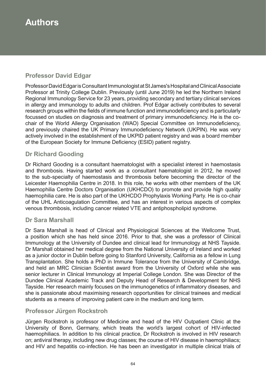# **Authors**

# **Professor David Edgar**

Professor David Edgar is Consultant Immunologist at St James's Hospital and Clinical Associate Professor at Trinity College Dublin. Previously (until June 2019) he led the Northern Ireland Regional Immunology Service for 23 years, providing secondary and tertiary clinical services in allergy and immunology to adults and children. Prof Edgar actively contributes to several research groups within the fields of immune function and immunodeficiency and is particularly focussed on studies on diagnosis and treatment of primary immunodeficiency. He is the cochair of the World Allergy Organisation (WAO) Special Committee on Immunodeficiency, and previously chaired the UK Primary Immunodeficiency Network (UKPIN). He was very actively involved in the establishment of the UKPID patient registry and was a board member of the European Society for Immune Deficiency (ESID) patient registry.

## **Dr Richard Gooding**

Dr Richard Gooding is a consultant haematologist with a specialist interest in haemostasis and thrombosis. Having started work as a consultant haematologist in 2012, he moved to the sub-specialty of haemostasis and thrombosis before becoming the director of the Leicester Haemophilia Centre in 2018. In this role, he works with other members of the UK Haemophilia Centre Doctors Organisation (UKHCDO) to promote and provide high quality haemophilia care. He is also part of the UKHCDO Prophylaxis Working Party. He is co-chair of the UHL Anticoagulation Committee, and has an interest in various aspects of complex venous thrombosis, including cancer related VTE and antiphospholipid syndrome.

### **Dr Sara Marshall**

Dr Sara Marshall is head of Clinical and Physiological Sciences at the Wellcome Trust, a position which she has held since 2016. Prior to that, she was a professor of Clinical Immunology at the University of Dundee and clinical lead for Immunology at NHS Tayside. Dr Marshall obtained her medical degree from the National University of Ireland and worked as a junior doctor in Dublin before going to Stanford University, California as a fellow in Lung Transplantation. She holds a PhD in Immune Tolerance from the University of Cambridge, and held an MRC Clinician Scientist award from the University of Oxford while she was senior lecturer in Clinical Immunology at Imperial College London. She was Director of the Dundee Clinical Academic Track and Deputy Head of Research & Development for NHS Tayside. Her research mainly focuses on the immunogenetics of inflammatory diseases, and she is passionate about maximising research opportunities for clinical trainees and medical students as a means of improving patient care in the medium and long term.

## **Professor Jürgen Rockstroh**

Jürgen Rockstroh is professor of Medicine and head of the HIV Outpatient Clinic at the University of Bonn, Germany, which treats the world's largest cohort of HIV-infected haemophiliacs. In addition to his clinical practice, Dr Rockstroh is involved in HIV research on; antiviral therapy, including new drug classes; the course of HIV disease in haemophiliacs; and HIV and hepatitis co-infection. He has been an investigator in multiple clinical trials of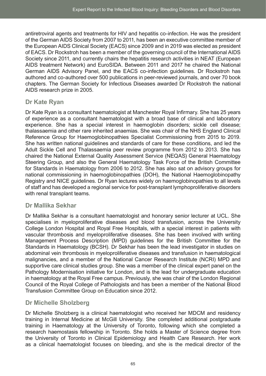antiretroviral agents and treatments for HIV and hepatitis co-infection. He was the president of the German AIDS Society from 2007 to 2011, has been an executive committee member of the European AIDS Clinical Society (EACS) since 2009 and in 2019 was elected as president of EACS. Dr Rockstroh has been a member of the governing council of the International AIDS Society since 2011, and currently chairs the hepatitis research activities in NEAT (European AIDS treatment Network) and EuroSIDA. Between 2011 and 2017 he chaired the National German AIDS Advisory Panel, and the EACS co-infection guidelines. Dr Rockstroh has authored and co-authored over 500 publications in peer-reviewed journals, and over 70 book chapters. The German Society for Infectious Diseases awarded Dr Rockstroh the national AIDS research prize in 2005.

# **Dr Kate Ryan**

Dr Kate Ryan is a consultant haematologist at Manchester Royal Infirmary. She has 25 years of experience as a consultant haematologist with a broad base of clinical and laboratory experience. She has a special interest in haemoglobin disorders; sickle cell disease; thalassaemia and other rare inherited anaemias. She was chair of the NHS England Clinical Reference Group for Haemoglobinopathies Specialist Commissioning from 2015 to 2019. She has written national guidelines and standards of care for these conditions, and led the Adult Sickle Cell and Thalassaemia peer review programme from 2012 to 2013. She has chaired the National External Quality Assessment Service (NEQAS) General Haematology Steering Group, and also the General Haematology Task Force of the British Committee for Standards in Haematology from 2006 to 2012. She has also sat on advisory groups for national commissioning in haemoglobinopathies (DOH), the National Haemoglobinopathy Registry and NICE guidelines. Dr Ryan lectures widely on haemoglobinopathies to all levels of staff and has developed a regional service for post-transplant lymphoproliferative disorders with renal transplant teams.

# **Dr Mallika Sekhar**

Dr Mallika Sekhar is a consultant haematologist and honorary senior lecturer at UCL. She specialises in myeloproliferative diseases and blood transfusion, across the University College London Hospital and Royal Free Hospitals, with a special interest in patients with vascular thrombosis and myeloproliferative diseases. She has been involved with writing Management Process Description (MPD) guidelines for the British Committee for the Standards in Haematology (BCSH). Dr Sekhar has been the lead investigator in studies on abdominal vein thrombosis in myeloproliferative diseases and transfusion in haematological malignancies, and a member of the National Cancer Research Institute (NCRI) MPD and supportive care clinical studies group. She was a member of the clinical expert panel on the Pathology Modernisation initiative for London, and is the lead for undergraduate education in haematology at the Royal Free campus. Previously, she was chair of the London Regional Council of the Royal College of Pathologists and has been a member of the National Blood Transfusion Committee Group on Education since 2012.

# **Dr Michelle Sholzberg**

Dr Michelle Sholzberg is a clinical haematologist who received her MDCM and residency training in Internal Medicine at McGill University. She completed additional postgraduate training in Haematology at the University of Toronto, following which she completed a research haemostasis fellowship in Toronto. She holds a Master of Science degree from the University of Toronto in Clinical Epidemiology and Health Care Research. Her work as a clinical haematologist focuses on bleeding, and she is the medical director of the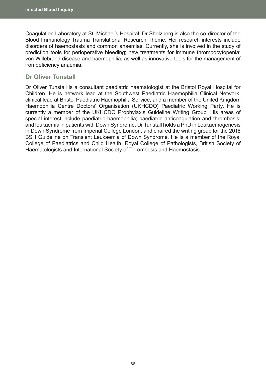Coagulation Laboratory at St. Michael's Hospital. Dr Sholzberg is also the co-director of the Blood Immunology Trauma Translational Research Theme. Her research interests include disorders of haemostasis and common anaemias. Currently, she is involved in the study of prediction tools for perioperative bleeding; new treatments for immune thrombocytopenia; von Willebrand disease and haemophilia, as well as innovative tools for the management of iron deficiency anaemia.

### **Dr Oliver Tunstall**

Dr Oliver Tunstall is a consultant paediatric haematologist at the Bristol Royal Hospital for Children. He is network lead at the Southwest Paediatric Haemophilia Clinical Network, clinical lead at Bristol Paediatric Haemophilia Service, and a member of the United Kingdom Haemophilia Centre Doctors' Organisation (UKHCDO) Paediatric Working Party. He is currently a member of the UKHCDO Prophylaxis Guideline Writing Group. His areas of special interest include paediatric haemophilia; paediatric anticoagulation and thrombosis; and leukaemia in patients with Down Syndrome. Dr Tunstall holds a PhD in Leukaemogenesis in Down Syndrome from Imperial College London, and chaired the writing group for the 2018 BSH Guideline on Transient Leukaemia of Down Syndrome. He is a member of the Royal College of Paediatrics and Child Health, Royal College of Pathologists, British Society of Haematologists and International Society of Thrombosis and Haemostasis.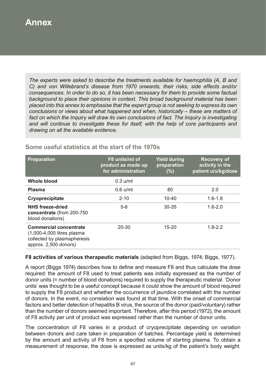# **Annex**

*The experts were asked to describe the treatments available for haemophilia (A, B and C) and von Willebrand's disease from 1970 onwards, their risks, side effects and/or consequences. In order to do so, it has been necessary for them to provide some factual background to place their opinions in context. This broad background material has been placed into this annex to emphasise that the expert group is not seeking to express its own conclusions or views about what happened and when, historically – these are matters of*  fact on which the Inquiry will draw its own conclusions of fact. The Inquiry is investigating *and will continue to investigate these for itself, with the help of core participants and drawing on all the available evidence.*

| <b>Preparation</b>                                                                                                  | F8 units/ml of<br>product as made up<br>for administration | <b>Yield during</b><br>preparation<br>(%) | <b>Recovery of</b><br>activity in the<br>patient u/u/kg/dose |
|---------------------------------------------------------------------------------------------------------------------|------------------------------------------------------------|-------------------------------------------|--------------------------------------------------------------|
| <b>Whole blood</b>                                                                                                  | $0.3$ u/ml                                                 |                                           |                                                              |
| <b>Plasma</b>                                                                                                       | $0.6$ u/ml                                                 | 80                                        | 2.0                                                          |
| Cryoprecipitate                                                                                                     | $2 - 10$                                                   | $10 - 40$                                 | $1.6 - 1.8$                                                  |
| <b>NHS freeze-dried</b><br>concentrate (from 200-750<br>blood donations)                                            | $5-6$                                                      | 30-35                                     | $1.6 - 2.0$                                                  |
| <b>Commercial concentrate</b><br>(1,000-4,000 litres plasma<br>collected by plasmapheresis<br>approx. 2,500 donors) | 20-30                                                      | $15 - 20$                                 | $1.8 - 2.2$                                                  |

# **Some useful statistics at the start of the 1970s**

#### **F8 activities of various therapeutic materials** (adapted from Biggs, 1974; Biggs, 1977).

A report (Biggs 1974) describes how to define and measure F8 and thus calculate the dose required: the amount of F8 used to treat patients was initially expressed as the number of donor units (= number of blood donations) required to supply the therapeutic material. 'Donor units' was thought to be a useful concept because it could show the amount of blood required to supply the F8 product and whether the occurrence of jaundice correlated with the number of donors. In the event, no correlation was found at that time. With the onset of commercial factors and better detection of hepatitis B virus, the source of the donor (paid/voluntary) rather than the number of donors seemed important. Therefore, after this period (1972), the amount of F8 activity per unit of product was expressed rather than the number of donor units.

The concentration of F8 varies in a product of cryoprecipitate depending on variation between donors and care taken in preparation of batches. Percentage yield is determined by the amount and activity of F8 from a specified volume of starting plasma. To obtain a measurement of response, the dose is expressed as units/kg of the patient's body weight.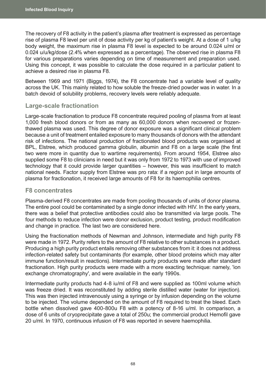The recovery of F8 activity in the patient's plasma after treatment is expressed as percentage rise of plasma F8 level per unit of dose activity per kg of patient's weight. At a dose of 1 u/kg body weight, the maximum rise in plasma F8 level is expected to be around 0.024 u/ml or 0.024 u/u/kg/dose (2.4% when expressed as a percentage). The observed rise in plasma F8 for various preparations varies depending on time of measurement and preparation used. Using this concept, it was possible to calculate the dose required in a particular patient to achieve a desired rise in plasma F8.

Between 1969 and 1971 (Biggs, 1974), the F8 concentrate had a variable level of quality across the UK. This mainly related to how soluble the freeze-dried powder was in water. In a batch devoid of solubility problems, recovery levels were reliably adequate.

## **Large-scale fractionation**

Large-scale fractionation to produce F8 concentrate required pooling of plasma from at least 1,000 fresh blood donors or from as many as 60,000 donors when recovered or frozenthawed plasma was used. This degree of donor exposure was a significant clinical problem because a unit of treatment entailed exposure to many thousands of donors with the attendant risk of infections. The national production of fractionated blood products was organised at BPL, Elstree, which produced gamma globulin, albumin and F8 on a large scale (the first two were more in quantity due to wartime requirements). From around 1954, Elstree also supplied some F8 to clinicians in need but it was only from 1972 to 1973 with use of improved technology that it could provide larger quantities – however, this was insufficient to match national needs. Factor supply from Elstree was pro rata: if a region put in large amounts of plasma for fractionation, it received large amounts of F8 for its haemophilia centres.

## **F8 concentrates**

Plasma-derived F8 concentrates are made from pooling thousands of units of donor plasma. The entire pool could be contaminated by a single donor infected with HIV. In the early years, there was a belief that protective antibodies could also be transmitted via large pools. The four methods to reduce infection were donor exclusion, product testing, product modification and change in practice. The last two are considered here.

Using the fractionation methods of Newman and Johnson, intermediate and high purity F8 were made in 1972. Purity refers to the amount of F8 relative to other substances in a product. Producing a high purity product entails removing other substances from it: it does not address infection-related safety but contaminants (for example, other blood proteins which may alter immune function/result in reactions). Intermediate purity products were made after standard fractionation. High purity products were made with a more exacting technique: namely, 'ion exchange chromatography', and were available in the early 1990s.

Intermediate purity products had 4-8 iu/ml of F8 and were supplied as 100ml volume which was freeze dried. It was reconstituted by adding sterile distilled water (water for injection). This was then injected intravenously using a syringe or by infusion depending on the volume to be injected. The volume depended on the amount of F8 required to treat the bleed. Each bottle when dissolved gave 400-800u F8 with a potency of 8-16 u/ml. In comparison, a dose of 6 units of cryoprecipitate gave a total of 250u; the commercial product Hemofil gave 20 u/ml. In 1970, continuous infusion of F8 was reported in severe haemophilia.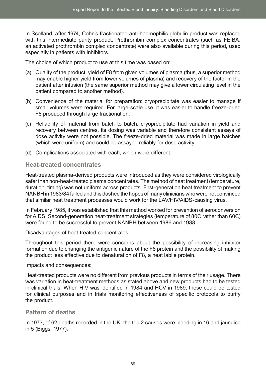In Scotland, after 1974, Cohn's fractionated anti-haemophilic globulin product was replaced with this intermediate purity product. Prothrombin complex concentrates (such as FEIBA, an activated prothrombin complex concentrate) were also available during this period, used especially in patients with inhibitors.

The choice of which product to use at this time was based on:

- (a) Quality of the product: yield of F8 from given volumes of plasma (thus, a superior method may enable higher yield from lower volumes of plasma) and recovery of the factor in the patient after infusion (the same superior method may give a lower circulating level in the patient compared to another method).
- (b) Convenience of the material for preparation: cryoprecipitate was easier to manage if small volumes were required. For large-scale use, it was easier to handle freeze-dried F8 produced through large fractionation.
- (c) Reliability of material from batch to batch: cryoprecipitate had variation in yield and recovery between centres, its dosing was variable and therefore consistent assays of dose activity were not possible. The freeze-dried material was made in large batches (which were uniform) and could be assayed reliably for dose activity.
- (d) Complications associated with each, which were different.

## **Heat-treated concentrates**

Heat-treated plasma-derived products were introduced as they were considered virologically safer than non-heat-treated plasma concentrates. The method of heat treatment (temperature, duration, timing) was not uniform across products. First-generation heat treatment to prevent NANBH in 1983/84 failed and this dashed the hopes of many clinicians who were not convinced that similar heat treatment processes would work for the LAV/HIV/AIDS-causing virus.

In February 1985, it was established that this method worked for prevention of seroconversion for AIDS. Second-generation heat-treatment strategies (temperature of 80C rather than 60C) were found to be successful to prevent NANBH between 1986 and 1988.

Disadvantages of heat-treated concentrates:

Throughout this period there were concerns about the possibility of increasing inhibitor formation due to changing the antigenic nature of the F8 protein and the possibility of making the product less effective due to denaturation of F8, a heat labile protein.

#### Impacts and consequences:

Heat-treated products were no different from previous products in terms of their usage. There was variation in heat-treatment methods as stated above and new products had to be tested in clinical trials. When HIV was identified in 1984 and HCV in 1989, these could be tested for clinical purposes and in trials monitoring effectiveness of specific protocols to purify the product.

#### **Pattern of deaths**

In 1973, of 62 deaths recorded in the UK, the top 2 causes were bleeding in 16 and jaundice in 5 (Biggs, 1977).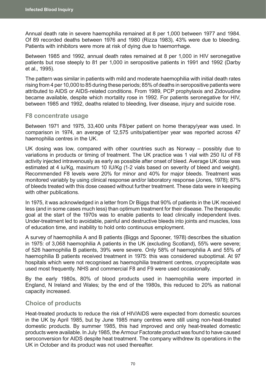Annual death rate in severe haemophilia remained at 8 per 1,000 between 1977 and 1984. Of 89 recorded deaths between 1976 and 1980 (Rizza 1983), 43% were due to bleeding. Patients with inhibitors were more at risk of dying due to haemorrhage.

Between 1985 and 1992, annual death rates remained at 8 per 1,000 in HIV seronegative patients but rose steeply to 81 per 1,000 in seropositive patients in 1991 and 1992 (Darby et al., 1995).

The pattern was similar in patients with mild and moderate haemophilia with initial death rates rising from 4 per 10,000 to 85 during these periods; 85% of deaths in seropositive patients were attributed to AIDS or AIDS-related conditions. From 1989, PCP prophylaxis and Zidovudine became available, despite which mortality rose in 1992. For patients seronegative for HIV, between 1985 and 1992, deaths related to bleeding, liver disease, injury and suicide rose.

#### **F8 concentrate usage**

Between 1971 and 1975, 33,400 units F8/per patient on home therapy/year was used. In comparison in 1974, an average of 12,575 units/patient/per year was reported across 47 haemophilia centres in the UK.

UK dosing was low, compared with other countries such as Norway – possibly due to variations in products or timing of treatment. The UK practice was 1 vial with 250 IU of F8 activity injected intravenously as early as possible after onset of bleed. Average UK dose was estimated at 4 iu/Kg, maximum 10 IU/Kg (1-2 vials based on severity of bleed and weight). Recommended F8 levels were 20% for minor and 40% for major bleeds. Treatment was monitored variably by using clinical response and/or laboratory response (Jones, 1978); 87% of bleeds treated with this dose ceased without further treatment. These data were in keeping with other publications.

In 1975, it was acknowledged in a letter from Dr Biggs that 90% of patients in the UK received less (and in some cases much less) than optimum treatment for their disease. The therapeutic goal at the start of the 1970s was to enable patients to lead clinically independent lives. Under-treatment led to avoidable, painful and destructive bleeds into joints and muscles, loss of education time, and inability to hold onto continuous employment.

A survey of haemophilia A and B patients (Biggs and Spooner, 1978) describes the situation in 1975: of 3,068 haemophilia A patients in the UK (excluding Scotland), 55% were severe; of 526 haemophilia B patients, 39% were severe. Only 58% of haemophilia A and 55% of haemophilia B patients received treatment in 1975: this was considered suboptimal. At 97 hospitals which were not recognised as haemophilia treatment centres, cryoprecipitate was used most frequently. NHS and commercial F8 and F9 were used occasionally.

By the early 1980s, 80% of blood products used in haemophilia were imported in England, N Ireland and Wales; by the end of the 1980s, this reduced to 20% as national capacity increased.

## **Choice of products**

Heat-treated products to reduce the risk of HIV/AIDS were expected from domestic sources in the UK by April 1985, but by June 1985 many centres were still using non-heat-treated domestic products. By summer 1985, this had improved and only heat-treated domestic products were available. In July 1985, the Armour Factorate product was found to have caused seroconversion for AIDS despite heat treatment. The company withdrew its operations in the UK in October and its product was not used thereafter.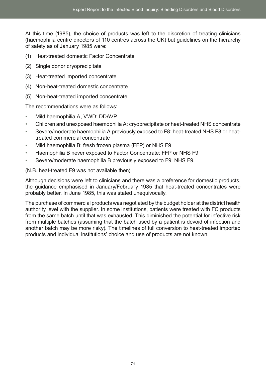At this time (1985), the choice of products was left to the discretion of treating clinicians (haemophilia centre directors of 110 centres across the UK) but guidelines on the hierarchy of safety as of January 1985 were:

- (1) Heat-treated domestic Factor Concentrate
- (2) Single donor cryoprecipitate
- (3) Heat-treated imported concentrate
- (4) Non-heat-treated domestic concentrate
- (5) Non-heat-treated imported concentrate.

The recommendations were as follows:

- Mild haemophilia A, VWD: DDAVP
- Children and unexposed haemophilia A: cryoprecipitate or heat-treated NHS concentrate
- Severe/moderate haemophilia A previously exposed to F8: heat-treated NHS F8 or heattreated commercial concentrate
- Mild haemophilia B: fresh frozen plasma (FFP) or NHS F9
- Haemophilia B never exposed to Factor Concentrate: FFP or NHS F9
- Severe/moderate haemophilia B previously exposed to F9: NHS F9.

(N.B. heat-treated F9 was not available then)

Although decisions were left to clinicians and there was a preference for domestic products, the guidance emphasised in January/February 1985 that heat-treated concentrates were probably better. In June 1985, this was stated unequivocally.

The purchase of commercial products was negotiated by the budget holder at the district health authority level with the supplier. In some institutions, patients were treated with FC products from the same batch until that was exhausted. This diminished the potential for infective risk from multiple batches (assuming that the batch used by a patient is devoid of infection and another batch may be more risky). The timelines of full conversion to heat-treated imported products and individual institutions' choice and use of products are not known.